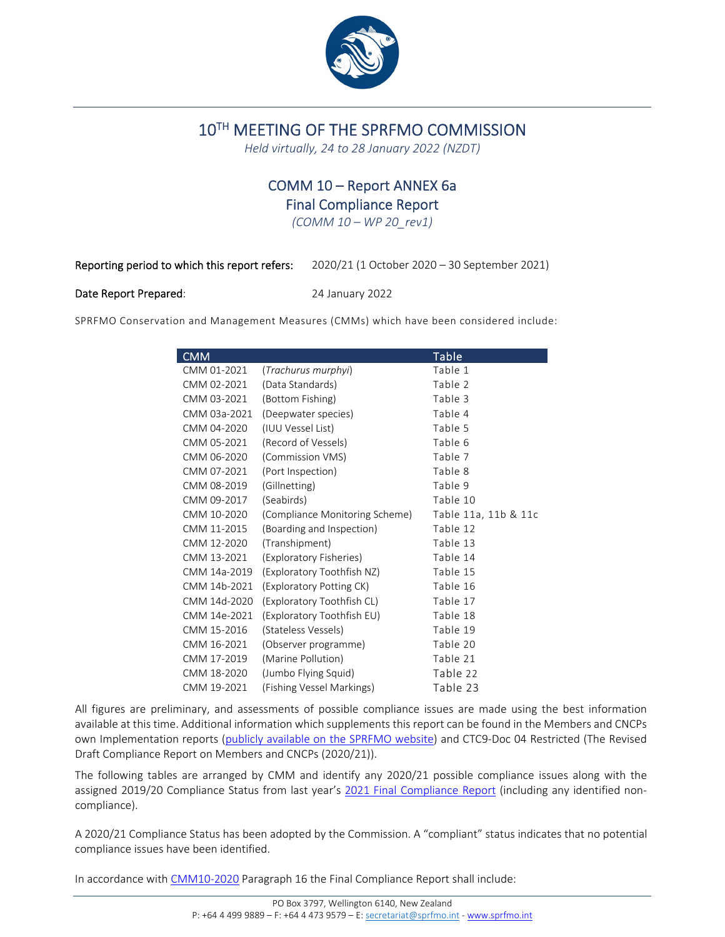

# 10TH MEETING OF THE SPRFMO COMMISSION

*Held virtually, 24 to 28 January 2022 (NZDT)*

# COMM 10 – Report ANNEX 6a Final Compliance Report

*(COMM 10 – WP 20\_rev1)*

Reporting period to which this report refers: 2020/21 (1 October 2020 – 30 September 2021)

#### Date Report Prepared: 24 January 2022

SPRFMO Conservation and Management Measures (CMMs) which have been considered include:

| <b>CMM</b>   |                                | <b>Table</b>         |
|--------------|--------------------------------|----------------------|
| CMM 01-2021  | (Trachurus murphyi)            | Table 1              |
| CMM 02-2021  | (Data Standards)               | Table 2              |
| CMM 03-2021  | (Bottom Fishing)               | Table 3              |
| CMM 03a-2021 | (Deepwater species)            | Table 4              |
| CMM 04-2020  | (IUU Vessel List)              | Table 5              |
| CMM 05-2021  | (Record of Vessels)            | Table 6              |
| CMM 06-2020  | (Commission VMS)               | Table 7              |
| CMM 07-2021  | (Port Inspection)              | Table 8              |
| CMM 08-2019  | (Gillnetting)                  | Table 9              |
| CMM 09-2017  | (Seabirds)                     | Table 10             |
| CMM 10-2020  | (Compliance Monitoring Scheme) | Table 11a, 11b & 11c |
| CMM 11-2015  | (Boarding and Inspection)      | Table 12             |
| CMM 12-2020  | (Transhipment)                 | Table 13             |
| CMM 13-2021  | (Exploratory Fisheries)        | Table 14             |
| CMM 14a-2019 | (Exploratory Toothfish NZ)     | Table 15             |
| CMM 14b-2021 | (Exploratory Potting CK)       | Table 16             |
| CMM 14d-2020 | (Exploratory Toothfish CL)     | Table 17             |
| CMM 14e-2021 | (Exploratory Toothfish EU)     | Table 18             |
| CMM 15-2016  | (Stateless Vessels)            | Table 19             |
| CMM 16-2021  | (Observer programme)           | Table 20             |
| CMM 17-2019  | (Marine Pollution)             | Table 21             |
| CMM 18-2020  | (Jumbo Flying Squid)           | Table 22             |
| CMM 19-2021  | (Fishing Vessel Markings)      | Table 23             |

All figures are preliminary, and assessments of possible compliance issues are made using the best information available at this time. Additional information which supplements this report can be found in the Members and CNCPs own Implementation reports (publicly available on the SPRFMO website) and CTC9‐Doc 04 Restricted (The Revised Draft Compliance Report on Members and CNCPs (2020/21)).

The following tables are arranged by CMM and identify any 2020/21 possible compliance issues along with the assigned 2019/20 Compliance Status from last year's 2021 Final Compliance Report (including any identified noncompliance).

A 2020/21 Compliance Status has been adopted by the Commission. A "compliant" status indicates that no potential compliance issues have been identified.

In accordance with CMM10-2020 Paragraph 16 the Final Compliance Report shall include: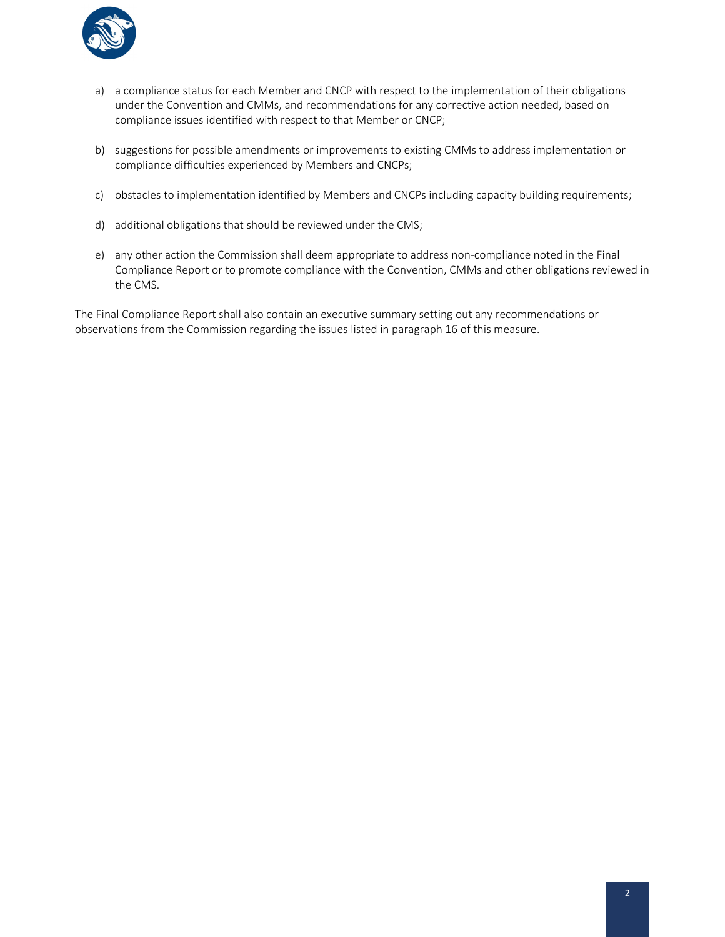

- a) a compliance status for each Member and CNCP with respect to the implementation of their obligations under the Convention and CMMs, and recommendations for any corrective action needed, based on compliance issues identified with respect to that Member or CNCP;
- b) suggestions for possible amendments or improvements to existing CMMs to address implementation or compliance difficulties experienced by Members and CNCPs;
- c) obstacles to implementation identified by Members and CNCPs including capacity building requirements;
- d) additional obligations that should be reviewed under the CMS;
- e) any other action the Commission shall deem appropriate to address non‐compliance noted in the Final Compliance Report or to promote compliance with the Convention, CMMs and other obligations reviewed in the CMS.

The Final Compliance Report shall also contain an executive summary setting out any recommendations or observations from the Commission regarding the issues listed in paragraph 16 of this measure.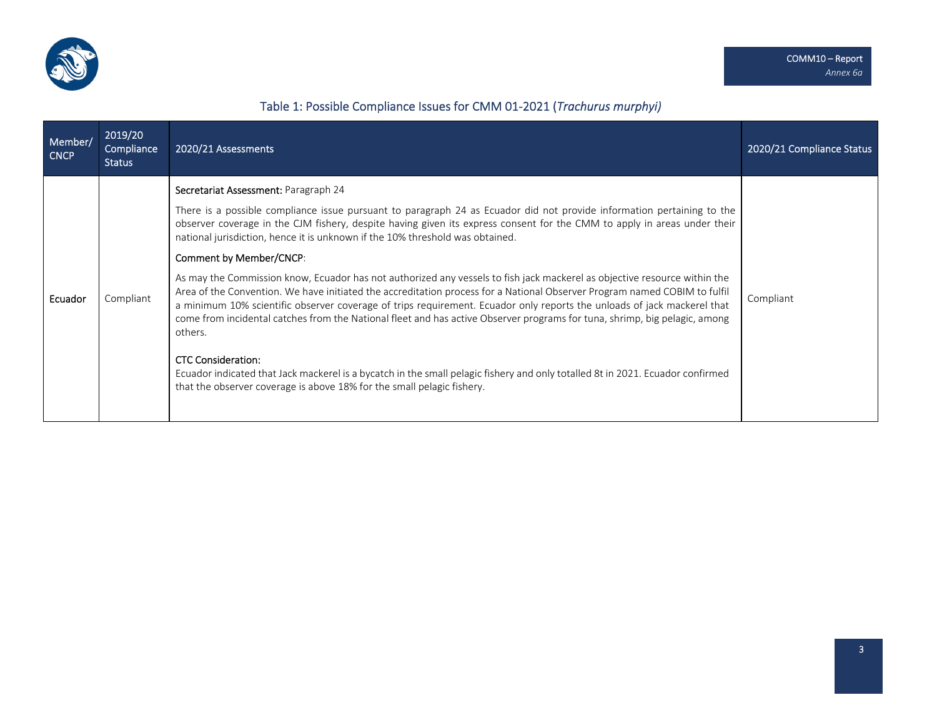

# Table 1: Possible Compliance Issues for CMM 01‐2021 (*Trachurus murphyi)*

| Member/<br><b>CNCP</b> | 2019/20<br>Compliance<br><b>Status</b> | 2020/21 Assessments                                                                                                                                                                                                                                                                                                                                                                                                                                                                                                                                                                                                                                                                                                                                                                                                                                                                                                                                                                                                                                                                                                                                                           | 2020/21 Compliance Status |
|------------------------|----------------------------------------|-------------------------------------------------------------------------------------------------------------------------------------------------------------------------------------------------------------------------------------------------------------------------------------------------------------------------------------------------------------------------------------------------------------------------------------------------------------------------------------------------------------------------------------------------------------------------------------------------------------------------------------------------------------------------------------------------------------------------------------------------------------------------------------------------------------------------------------------------------------------------------------------------------------------------------------------------------------------------------------------------------------------------------------------------------------------------------------------------------------------------------------------------------------------------------|---------------------------|
| Ecuador                | Compliant                              | Secretariat Assessment: Paragraph 24<br>There is a possible compliance issue pursuant to paragraph 24 as Ecuador did not provide information pertaining to the<br>observer coverage in the CJM fishery, despite having given its express consent for the CMM to apply in areas under their<br>national jurisdiction, hence it is unknown if the 10% threshold was obtained.<br>Comment by Member/CNCP:<br>As may the Commission know, Ecuador has not authorized any vessels to fish jack mackerel as objective resource within the<br>Area of the Convention. We have initiated the accreditation process for a National Observer Program named COBIM to fulfil<br>a minimum 10% scientific observer coverage of trips requirement. Ecuador only reports the unloads of jack mackerel that<br>come from incidental catches from the National fleet and has active Observer programs for tuna, shrimp, big pelagic, among<br>others.<br><b>CTC Consideration:</b><br>Ecuador indicated that Jack mackerel is a bycatch in the small pelagic fishery and only totalled 8t in 2021. Ecuador confirmed<br>that the observer coverage is above 18% for the small pelagic fishery. | Compliant                 |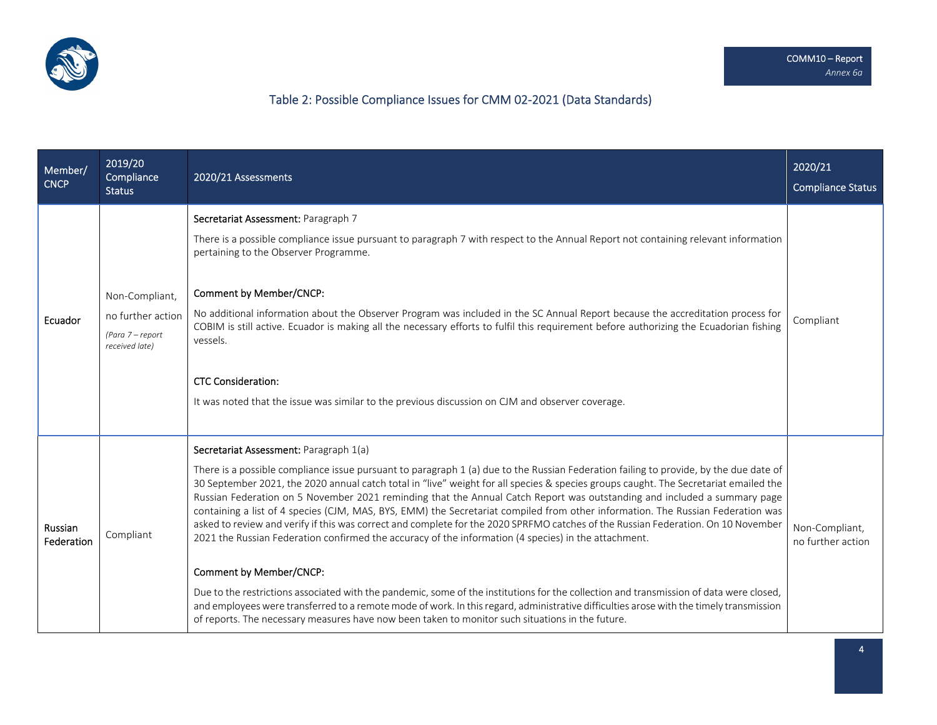

# Table 2: Possible Compliance Issues for CMM 02‐2021 (Data Standards)

| Member/<br><b>CNCP</b> | 2019/20<br>Compliance<br><b>Status</b>                                    | 2020/21 Assessments                                                                                                                                                                                                                                                                                                                                                                                                                                                                                                                                                                                                                                                                                                                                                                                                                                                                                                                                                                                                                                                                                                                                                                                                                                      | 2020/21<br><b>Compliance Status</b> |
|------------------------|---------------------------------------------------------------------------|----------------------------------------------------------------------------------------------------------------------------------------------------------------------------------------------------------------------------------------------------------------------------------------------------------------------------------------------------------------------------------------------------------------------------------------------------------------------------------------------------------------------------------------------------------------------------------------------------------------------------------------------------------------------------------------------------------------------------------------------------------------------------------------------------------------------------------------------------------------------------------------------------------------------------------------------------------------------------------------------------------------------------------------------------------------------------------------------------------------------------------------------------------------------------------------------------------------------------------------------------------|-------------------------------------|
| Ecuador                | Non-Compliant,<br>no further action<br>(Para 7 - report<br>received late) | Secretariat Assessment: Paragraph 7<br>There is a possible compliance issue pursuant to paragraph 7 with respect to the Annual Report not containing relevant information<br>pertaining to the Observer Programme.<br>Comment by Member/CNCP:<br>No additional information about the Observer Program was included in the SC Annual Report because the accreditation process for<br>COBIM is still active. Ecuador is making all the necessary efforts to fulfil this requirement before authorizing the Ecuadorian fishing<br>vessels.<br><b>CTC Consideration:</b><br>It was noted that the issue was similar to the previous discussion on CJM and observer coverage.                                                                                                                                                                                                                                                                                                                                                                                                                                                                                                                                                                                 | Compliant                           |
| Russian<br>Federation  | Compliant                                                                 | Secretariat Assessment: Paragraph 1(a)<br>There is a possible compliance issue pursuant to paragraph 1 (a) due to the Russian Federation failing to provide, by the due date of<br>30 September 2021, the 2020 annual catch total in "live" weight for all species & species groups caught. The Secretariat emailed the<br>Russian Federation on 5 November 2021 reminding that the Annual Catch Report was outstanding and included a summary page<br>containing a list of 4 species (CJM, MAS, BYS, EMM) the Secretariat compiled from other information. The Russian Federation was<br>asked to review and verify if this was correct and complete for the 2020 SPRFMO catches of the Russian Federation. On 10 November<br>2021 the Russian Federation confirmed the accuracy of the information (4 species) in the attachment.<br>Comment by Member/CNCP:<br>Due to the restrictions associated with the pandemic, some of the institutions for the collection and transmission of data were closed,<br>and employees were transferred to a remote mode of work. In this regard, administrative difficulties arose with the timely transmission<br>of reports. The necessary measures have now been taken to monitor such situations in the future. | Non-Compliant,<br>no further action |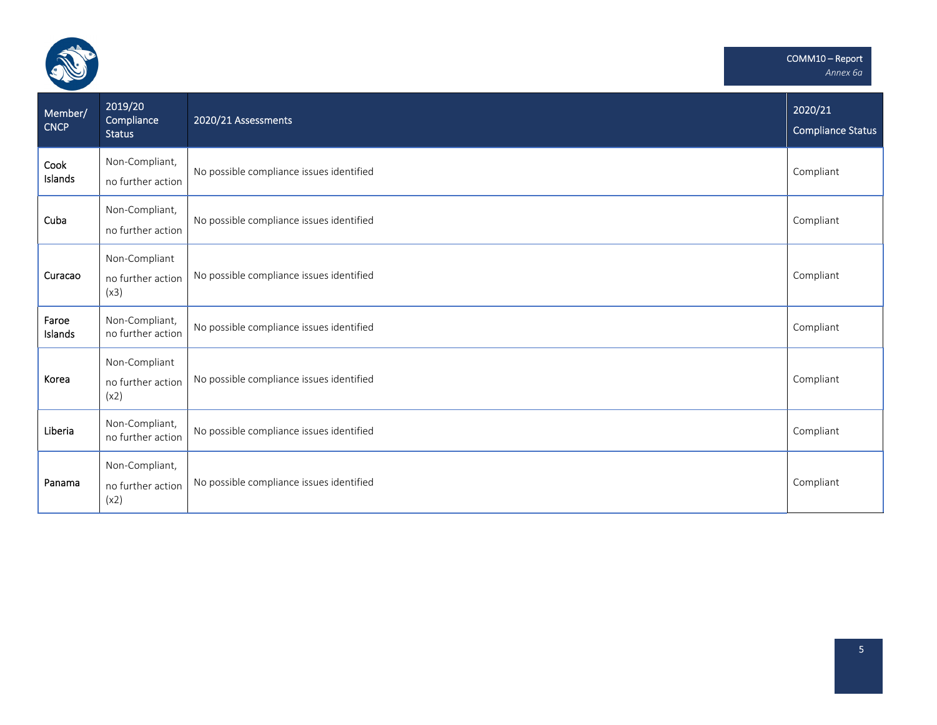

| Member/<br><b>CNCP</b> | 2019/20<br>Compliance<br><b>Status</b>      | 2020/21 Assessments                      | 2020/21<br><b>Compliance Status</b> |
|------------------------|---------------------------------------------|------------------------------------------|-------------------------------------|
| Cook<br>Islands        | Non-Compliant,<br>no further action         | No possible compliance issues identified | Compliant                           |
| Cuba                   | Non-Compliant,<br>no further action         | No possible compliance issues identified | Compliant                           |
| Curacao                | Non-Compliant<br>no further action<br>(x3)  | No possible compliance issues identified | Compliant                           |
| Faroe<br>Islands       | Non-Compliant,<br>no further action         | No possible compliance issues identified | Compliant                           |
| Korea                  | Non-Compliant<br>no further action<br>(x2)  | No possible compliance issues identified | Compliant                           |
| Liberia                | Non-Compliant,<br>no further action         | No possible compliance issues identified | Compliant                           |
| Panama                 | Non-Compliant,<br>no further action<br>(x2) | No possible compliance issues identified | Compliant                           |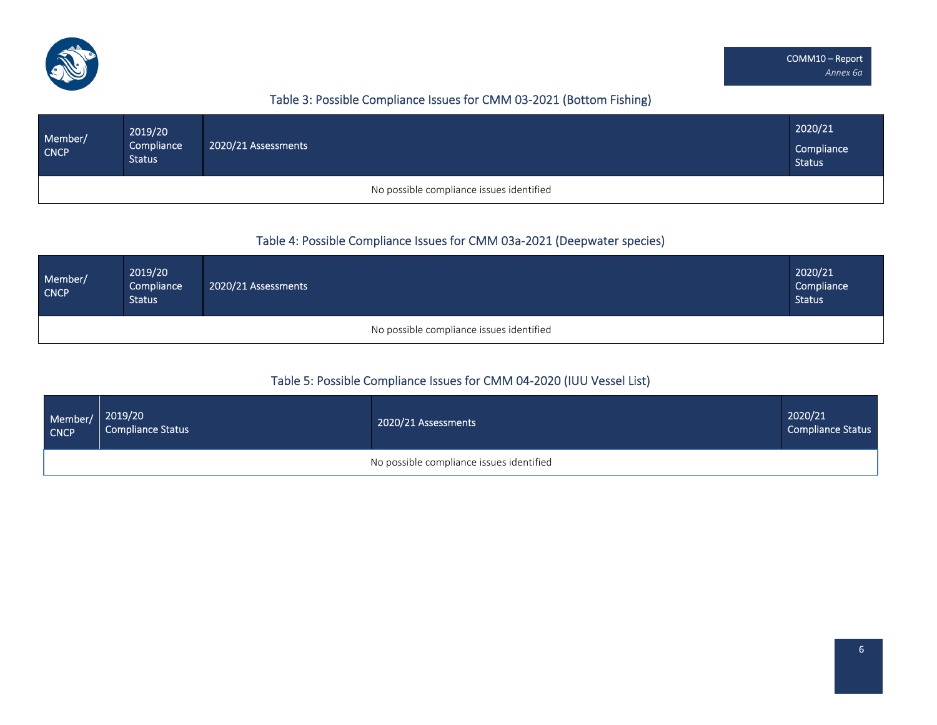

# Table 3: Possible Compliance Issues for CMM 03‐2021 (Bottom Fishing)

| Member/<br><b>CNCP</b> | 2019/20<br>Compliance<br><b>Status</b> | 2020/21 Assessments                      | 2020/21<br>Compliance<br><b>Status</b> |
|------------------------|----------------------------------------|------------------------------------------|----------------------------------------|
|                        |                                        | No possible compliance issues identified |                                        |

### Table 4: Possible Compliance Issues for CMM 03a‐2021 (Deepwater species)

| Member/<br><b>CNCP</b> | 2019/20<br>Compliance<br><b>Status</b> | 2020/21 Assessments                      | 2020/21<br>Compliance<br><b>Status</b> |
|------------------------|----------------------------------------|------------------------------------------|----------------------------------------|
|                        |                                        | No possible compliance issues identified |                                        |

### Table 5: Possible Compliance Issues for CMM 04‐2020 (IUU Vessel List)

| Member/<br>CNCP | 2019/20<br><b>Compliance Status</b> | 2020/21 Assessments                      | 2020/21<br><b>Compliance Status</b> |
|-----------------|-------------------------------------|------------------------------------------|-------------------------------------|
|                 |                                     | No possible compliance issues identified |                                     |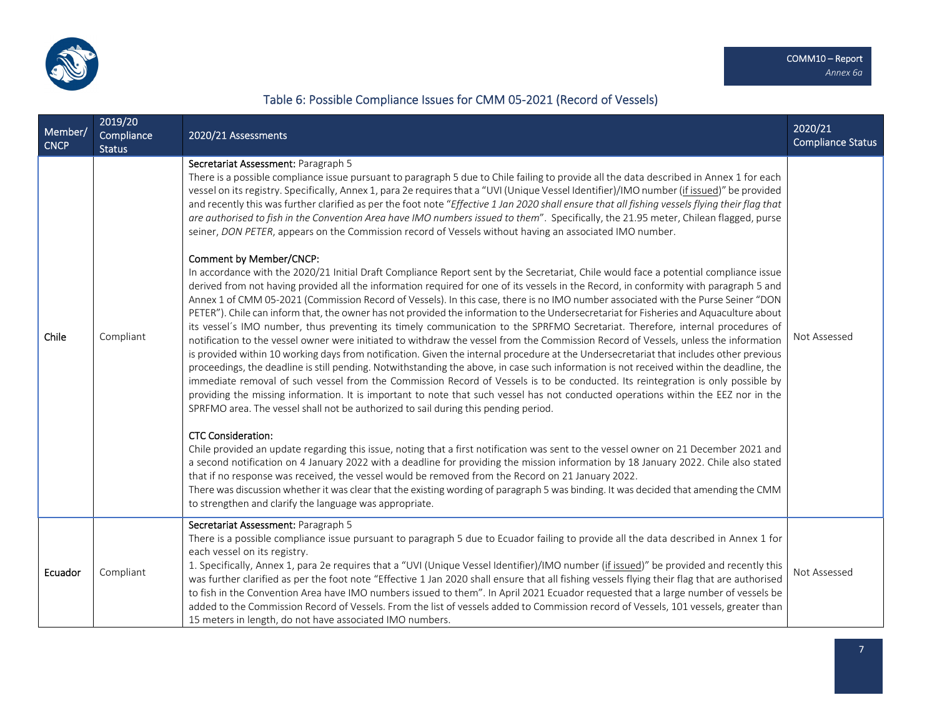

# Table 6: Possible Compliance Issues for CMM 05‐2021 (Record of Vessels)

| Member/<br><b>CNCP</b> | 2019/20<br>Compliance<br><b>Status</b> | 2020/21 Assessments                                                                                                                                                                                                                                                                                                                                                                                                                                                                                                                                                                                                                                                                                                                                                                                                                                                                                                                                                                                                                                                                                                                                                                                                                                                                                                                                                                                                                                                                                                                                                                                                                                                                                                                                                                                                                                                                                                                                                                                                                                                                                                                                                                                                                                                                                                                                                                                                                                                                                                                                                                                                                                                                                                                                                                                                                                                                    | 2020/21<br><b>Compliance Status</b> |
|------------------------|----------------------------------------|----------------------------------------------------------------------------------------------------------------------------------------------------------------------------------------------------------------------------------------------------------------------------------------------------------------------------------------------------------------------------------------------------------------------------------------------------------------------------------------------------------------------------------------------------------------------------------------------------------------------------------------------------------------------------------------------------------------------------------------------------------------------------------------------------------------------------------------------------------------------------------------------------------------------------------------------------------------------------------------------------------------------------------------------------------------------------------------------------------------------------------------------------------------------------------------------------------------------------------------------------------------------------------------------------------------------------------------------------------------------------------------------------------------------------------------------------------------------------------------------------------------------------------------------------------------------------------------------------------------------------------------------------------------------------------------------------------------------------------------------------------------------------------------------------------------------------------------------------------------------------------------------------------------------------------------------------------------------------------------------------------------------------------------------------------------------------------------------------------------------------------------------------------------------------------------------------------------------------------------------------------------------------------------------------------------------------------------------------------------------------------------------------------------------------------------------------------------------------------------------------------------------------------------------------------------------------------------------------------------------------------------------------------------------------------------------------------------------------------------------------------------------------------------------------------------------------------------------------------------------------------------|-------------------------------------|
| Chile                  | Compliant                              | Secretariat Assessment: Paragraph 5<br>There is a possible compliance issue pursuant to paragraph 5 due to Chile failing to provide all the data described in Annex 1 for each<br>vessel on its registry. Specifically, Annex 1, para 2e requires that a "UVI (Unique Vessel Identifier)/IMO number (if issued)" be provided<br>and recently this was further clarified as per the foot note "Effective 1 Jan 2020 shall ensure that all fishing vessels flying their flag that<br>are authorised to fish in the Convention Area have IMO numbers issued to them". Specifically, the 21.95 meter, Chilean flagged, purse<br>seiner, DON PETER, appears on the Commission record of Vessels without having an associated IMO number.<br>Comment by Member/CNCP:<br>In accordance with the 2020/21 Initial Draft Compliance Report sent by the Secretariat, Chile would face a potential compliance issue<br>derived from not having provided all the information required for one of its vessels in the Record, in conformity with paragraph 5 and<br>Annex 1 of CMM 05-2021 (Commission Record of Vessels). In this case, there is no IMO number associated with the Purse Seiner "DON<br>PETER"). Chile can inform that, the owner has not provided the information to the Undersecretariat for Fisheries and Aquaculture about<br>its vessel's IMO number, thus preventing its timely communication to the SPRFMO Secretariat. Therefore, internal procedures of<br>notification to the vessel owner were initiated to withdraw the vessel from the Commission Record of Vessels, unless the information<br>is provided within 10 working days from notification. Given the internal procedure at the Undersecretariat that includes other previous<br>proceedings, the deadline is still pending. Notwithstanding the above, in case such information is not received within the deadline, the<br>immediate removal of such vessel from the Commission Record of Vessels is to be conducted. Its reintegration is only possible by<br>providing the missing information. It is important to note that such vessel has not conducted operations within the EEZ nor in the<br>SPRFMO area. The vessel shall not be authorized to sail during this pending period.<br><b>CTC Consideration:</b><br>Chile provided an update regarding this issue, noting that a first notification was sent to the vessel owner on 21 December 2021 and<br>a second notification on 4 January 2022 with a deadline for providing the mission information by 18 January 2022. Chile also stated<br>that if no response was received, the vessel would be removed from the Record on 21 January 2022.<br>There was discussion whether it was clear that the existing wording of paragraph 5 was binding. It was decided that amending the CMM<br>to strengthen and clarify the language was appropriate. | Not Assessed                        |
| Ecuador                | Compliant                              | Secretariat Assessment: Paragraph 5<br>There is a possible compliance issue pursuant to paragraph 5 due to Ecuador failing to provide all the data described in Annex 1 for<br>each vessel on its registry.<br>1. Specifically, Annex 1, para 2e requires that a "UVI (Unique Vessel Identifier)/IMO number (if issued)" be provided and recently this<br>was further clarified as per the foot note "Effective 1 Jan 2020 shall ensure that all fishing vessels flying their flag that are authorised<br>to fish in the Convention Area have IMO numbers issued to them". In April 2021 Ecuador requested that a large number of vessels be<br>added to the Commission Record of Vessels. From the list of vessels added to Commission record of Vessels, 101 vessels, greater than<br>15 meters in length, do not have associated IMO numbers.                                                                                                                                                                                                                                                                                                                                                                                                                                                                                                                                                                                                                                                                                                                                                                                                                                                                                                                                                                                                                                                                                                                                                                                                                                                                                                                                                                                                                                                                                                                                                                                                                                                                                                                                                                                                                                                                                                                                                                                                                                       | Not Assessed                        |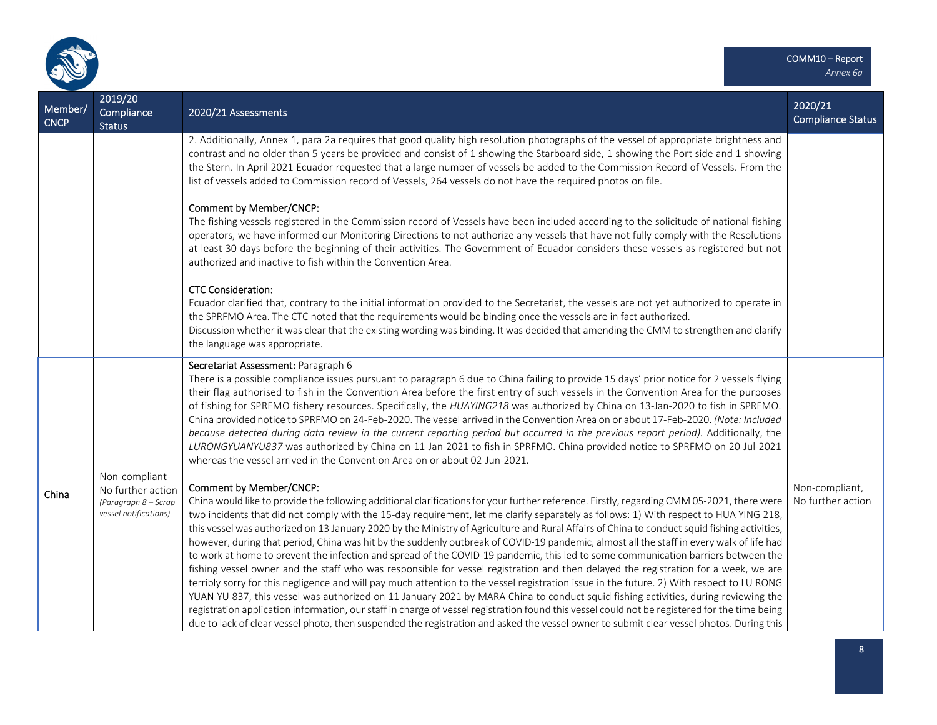

| Member/<br><b>CNCP</b> | 2019/20<br>Compliance<br><b>Status</b>                                               | 2020/21 Assessments                                                                                                                                                                                                                                                                                                                                                                                                                                                                                                                                                                                                                                                                                                                                                                                                                                                                                                                                                                                                                                                                                                                                                                                                                                                                                                                                                                                                                                                    | 2020/21<br><b>Compliance Status</b> |
|------------------------|--------------------------------------------------------------------------------------|------------------------------------------------------------------------------------------------------------------------------------------------------------------------------------------------------------------------------------------------------------------------------------------------------------------------------------------------------------------------------------------------------------------------------------------------------------------------------------------------------------------------------------------------------------------------------------------------------------------------------------------------------------------------------------------------------------------------------------------------------------------------------------------------------------------------------------------------------------------------------------------------------------------------------------------------------------------------------------------------------------------------------------------------------------------------------------------------------------------------------------------------------------------------------------------------------------------------------------------------------------------------------------------------------------------------------------------------------------------------------------------------------------------------------------------------------------------------|-------------------------------------|
|                        |                                                                                      | 2. Additionally, Annex 1, para 2a requires that good quality high resolution photographs of the vessel of appropriate brightness and<br>contrast and no older than 5 years be provided and consist of 1 showing the Starboard side, 1 showing the Port side and 1 showing<br>the Stern. In April 2021 Ecuador requested that a large number of vessels be added to the Commission Record of Vessels. From the<br>list of vessels added to Commission record of Vessels, 264 vessels do not have the required photos on file.                                                                                                                                                                                                                                                                                                                                                                                                                                                                                                                                                                                                                                                                                                                                                                                                                                                                                                                                           |                                     |
|                        |                                                                                      | Comment by Member/CNCP:<br>The fishing vessels registered in the Commission record of Vessels have been included according to the solicitude of national fishing<br>operators, we have informed our Monitoring Directions to not authorize any vessels that have not fully comply with the Resolutions<br>at least 30 days before the beginning of their activities. The Government of Ecuador considers these vessels as registered but not<br>authorized and inactive to fish within the Convention Area.                                                                                                                                                                                                                                                                                                                                                                                                                                                                                                                                                                                                                                                                                                                                                                                                                                                                                                                                                            |                                     |
|                        |                                                                                      | <b>CTC Consideration:</b><br>Ecuador clarified that, contrary to the initial information provided to the Secretariat, the vessels are not yet authorized to operate in<br>the SPRFMO Area. The CTC noted that the requirements would be binding once the vessels are in fact authorized.<br>Discussion whether it was clear that the existing wording was binding. It was decided that amending the CMM to strengthen and clarify<br>the language was appropriate.                                                                                                                                                                                                                                                                                                                                                                                                                                                                                                                                                                                                                                                                                                                                                                                                                                                                                                                                                                                                     |                                     |
|                        |                                                                                      | Secretariat Assessment: Paragraph 6<br>There is a possible compliance issues pursuant to paragraph 6 due to China failing to provide 15 days' prior notice for 2 vessels flying<br>their flag authorised to fish in the Convention Area before the first entry of such vessels in the Convention Area for the purposes<br>of fishing for SPRFMO fishery resources. Specifically, the HUAYING218 was authorized by China on 13-Jan-2020 to fish in SPRFMO.<br>China provided notice to SPRFMO on 24-Feb-2020. The vessel arrived in the Convention Area on or about 17-Feb-2020. (Note: Included<br>because detected during data review in the current reporting period but occurred in the previous report period). Additionally, the<br>LURONGYUANYU837 was authorized by China on 11-Jan-2021 to fish in SPRFMO. China provided notice to SPRFMO on 20-Jul-2021<br>whereas the vessel arrived in the Convention Area on or about 02-Jun-2021.                                                                                                                                                                                                                                                                                                                                                                                                                                                                                                                        |                                     |
| China                  | Non-compliant-<br>No further action<br>(Paragraph 8 - Scrap<br>vessel notifications) | Comment by Member/CNCP:<br>China would like to provide the following additional clarifications for your further reference. Firstly, regarding CMM 05-2021, there were<br>two incidents that did not comply with the 15-day requirement, let me clarify separately as follows: 1) With respect to HUA YING 218,<br>this vessel was authorized on 13 January 2020 by the Ministry of Agriculture and Rural Affairs of China to conduct squid fishing activities,<br>however, during that period, China was hit by the suddenly outbreak of COVID-19 pandemic, almost all the staff in every walk of life had<br>to work at home to prevent the infection and spread of the COVID-19 pandemic, this led to some communication barriers between the<br>fishing vessel owner and the staff who was responsible for vessel registration and then delayed the registration for a week, we are<br>terribly sorry for this negligence and will pay much attention to the vessel registration issue in the future. 2) With respect to LU RONG<br>YUAN YU 837, this vessel was authorized on 11 January 2021 by MARA China to conduct squid fishing activities, during reviewing the<br>registration application information, our staff in charge of vessel registration found this vessel could not be registered for the time being<br>due to lack of clear vessel photo, then suspended the registration and asked the vessel owner to submit clear vessel photos. During this | Non-compliant,<br>No further action |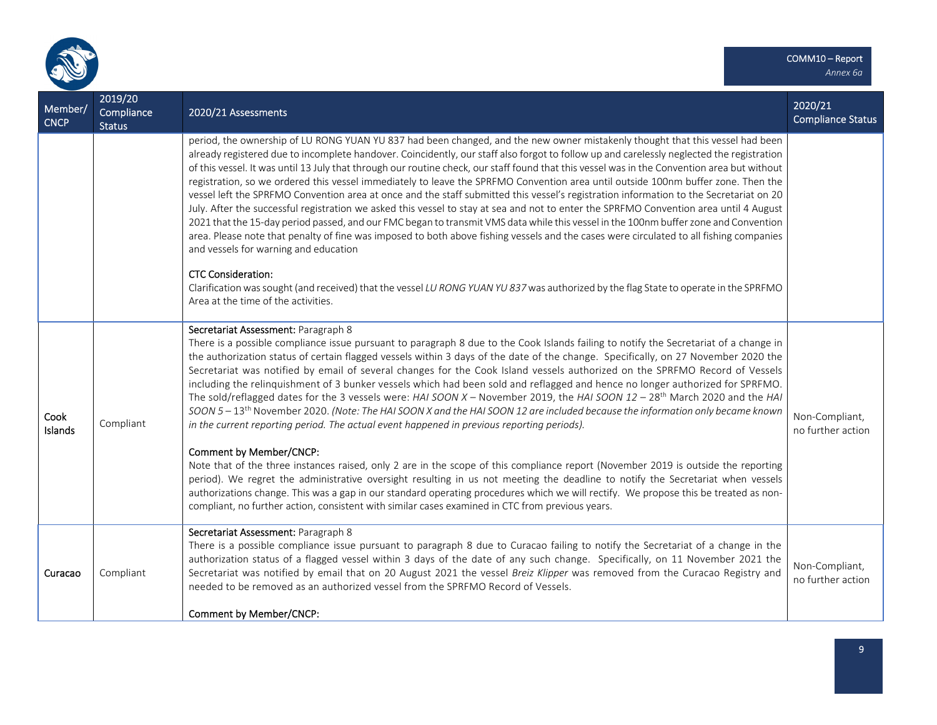

| Member/<br><b>CNCP</b> | 2019/20<br>Compliance<br><b>Status</b> | 2020/21 Assessments                                                                                                                                                                                                                                                                                                                                                                                                                                                                                                                                                                                                                                                                                                                                                                                                                                                                                                                                                                                                                                                                                                                                                             | 2020/21<br><b>Compliance Status</b> |
|------------------------|----------------------------------------|---------------------------------------------------------------------------------------------------------------------------------------------------------------------------------------------------------------------------------------------------------------------------------------------------------------------------------------------------------------------------------------------------------------------------------------------------------------------------------------------------------------------------------------------------------------------------------------------------------------------------------------------------------------------------------------------------------------------------------------------------------------------------------------------------------------------------------------------------------------------------------------------------------------------------------------------------------------------------------------------------------------------------------------------------------------------------------------------------------------------------------------------------------------------------------|-------------------------------------|
|                        |                                        | period, the ownership of LU RONG YUAN YU 837 had been changed, and the new owner mistakenly thought that this vessel had been<br>already registered due to incomplete handover. Coincidently, our staff also forgot to follow up and carelessly neglected the registration<br>of this vessel. It was until 13 July that through our routine check, our staff found that this vessel was in the Convention area but without<br>registration, so we ordered this vessel immediately to leave the SPRFMO Convention area until outside 100nm buffer zone. Then the<br>vessel left the SPRFMO Convention area at once and the staff submitted this vessel's registration information to the Secretariat on 20<br>July. After the successful registration we asked this vessel to stay at sea and not to enter the SPRFMO Convention area until 4 August<br>2021 that the 15-day period passed, and our FMC began to transmit VMS data while this vessel in the 100nm buffer zone and Convention<br>area. Please note that penalty of fine was imposed to both above fishing vessels and the cases were circulated to all fishing companies<br>and vessels for warning and education |                                     |
|                        |                                        | <b>CTC Consideration:</b><br>Clarification was sought (and received) that the vessel LU RONG YUAN YU 837 was authorized by the flag State to operate in the SPRFMO<br>Area at the time of the activities.                                                                                                                                                                                                                                                                                                                                                                                                                                                                                                                                                                                                                                                                                                                                                                                                                                                                                                                                                                       |                                     |
| Cook<br>Islands        | Compliant                              | Secretariat Assessment: Paragraph 8<br>There is a possible compliance issue pursuant to paragraph 8 due to the Cook Islands failing to notify the Secretariat of a change in<br>the authorization status of certain flagged vessels within 3 days of the date of the change. Specifically, on 27 November 2020 the<br>Secretariat was notified by email of several changes for the Cook Island vessels authorized on the SPRFMO Record of Vessels<br>including the relinquishment of 3 bunker vessels which had been sold and reflagged and hence no longer authorized for SPRFMO.<br>The sold/reflagged dates for the 3 vessels were: HAI SOON X - November 2019, the HAI SOON $12 - 28$ <sup>th</sup> March 2020 and the HAI<br>SOON 5 - 13 <sup>th</sup> November 2020. (Note: The HAI SOON X and the HAI SOON 12 are included because the information only became known<br>in the current reporting period. The actual event happened in previous reporting periods).<br>Comment by Member/CNCP:                                                                                                                                                                            | Non-Compliant,<br>no further action |
|                        |                                        | Note that of the three instances raised, only 2 are in the scope of this compliance report (November 2019 is outside the reporting<br>period). We regret the administrative oversight resulting in us not meeting the deadline to notify the Secretariat when vessels<br>authorizations change. This was a gap in our standard operating procedures which we will rectify. We propose this be treated as non-<br>compliant, no further action, consistent with similar cases examined in CTC from previous years.                                                                                                                                                                                                                                                                                                                                                                                                                                                                                                                                                                                                                                                               |                                     |
| Curacao                | Compliant                              | Secretariat Assessment: Paragraph 8<br>There is a possible compliance issue pursuant to paragraph 8 due to Curacao failing to notify the Secretariat of a change in the<br>authorization status of a flagged vessel within 3 days of the date of any such change. Specifically, on 11 November 2021 the<br>Secretariat was notified by email that on 20 August 2021 the vessel Breiz Klipper was removed from the Curacao Registry and<br>needed to be removed as an authorized vessel from the SPRFMO Record of Vessels.                                                                                                                                                                                                                                                                                                                                                                                                                                                                                                                                                                                                                                                       | Non-Compliant,<br>no further action |
|                        |                                        | Comment by Member/CNCP:                                                                                                                                                                                                                                                                                                                                                                                                                                                                                                                                                                                                                                                                                                                                                                                                                                                                                                                                                                                                                                                                                                                                                         |                                     |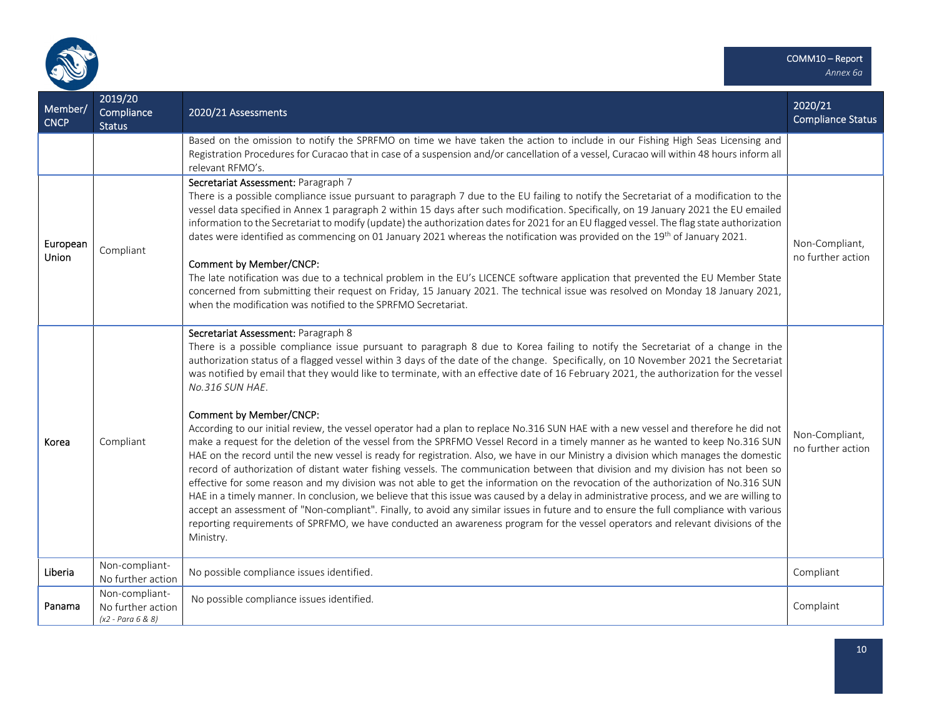

| Member/<br><b>CNCP</b> | 2019/20<br>Compliance<br><b>Status</b>                     | 2020/21 Assessments                                                                                                                                                                                                                                                                                                                                                                                                                                                                                                                                                                                                                                                                                                                                                                                                                                                                                                                                                                                                                                                                                                                                                                                                                                                                                                                                                                                                                                                                                                                                                                                                                     | 2020/21<br><b>Compliance Status</b> |
|------------------------|------------------------------------------------------------|-----------------------------------------------------------------------------------------------------------------------------------------------------------------------------------------------------------------------------------------------------------------------------------------------------------------------------------------------------------------------------------------------------------------------------------------------------------------------------------------------------------------------------------------------------------------------------------------------------------------------------------------------------------------------------------------------------------------------------------------------------------------------------------------------------------------------------------------------------------------------------------------------------------------------------------------------------------------------------------------------------------------------------------------------------------------------------------------------------------------------------------------------------------------------------------------------------------------------------------------------------------------------------------------------------------------------------------------------------------------------------------------------------------------------------------------------------------------------------------------------------------------------------------------------------------------------------------------------------------------------------------------|-------------------------------------|
|                        |                                                            | Based on the omission to notify the SPRFMO on time we have taken the action to include in our Fishing High Seas Licensing and<br>Registration Procedures for Curacao that in case of a suspension and/or cancellation of a vessel, Curacao will within 48 hours inform all<br>relevant RFMO's.                                                                                                                                                                                                                                                                                                                                                                                                                                                                                                                                                                                                                                                                                                                                                                                                                                                                                                                                                                                                                                                                                                                                                                                                                                                                                                                                          |                                     |
| European<br>Union      | Compliant                                                  | Secretariat Assessment: Paragraph 7<br>There is a possible compliance issue pursuant to paragraph 7 due to the EU failing to notify the Secretariat of a modification to the<br>vessel data specified in Annex 1 paragraph 2 within 15 days after such modification. Specifically, on 19 January 2021 the EU emailed<br>information to the Secretariat to modify (update) the authorization dates for 2021 for an EU flagged vessel. The flag state authorization<br>dates were identified as commencing on 01 January 2021 whereas the notification was provided on the 19th of January 2021.<br>Comment by Member/CNCP:<br>The late notification was due to a technical problem in the EU's LICENCE software application that prevented the EU Member State<br>concerned from submitting their request on Friday, 15 January 2021. The technical issue was resolved on Monday 18 January 2021,<br>when the modification was notified to the SPRFMO Secretariat.                                                                                                                                                                                                                                                                                                                                                                                                                                                                                                                                                                                                                                                                       | Non-Compliant,<br>no further action |
| Korea                  | Compliant                                                  | Secretariat Assessment: Paragraph 8<br>There is a possible compliance issue pursuant to paragraph 8 due to Korea failing to notify the Secretariat of a change in the<br>authorization status of a flagged vessel within 3 days of the date of the change. Specifically, on 10 November 2021 the Secretariat<br>was notified by email that they would like to terminate, with an effective date of 16 February 2021, the authorization for the vessel<br>No.316 SUN HAE.<br>Comment by Member/CNCP:<br>According to our initial review, the vessel operator had a plan to replace No.316 SUN HAE with a new vessel and therefore he did not<br>make a request for the deletion of the vessel from the SPRFMO Vessel Record in a timely manner as he wanted to keep No.316 SUN<br>HAE on the record until the new vessel is ready for registration. Also, we have in our Ministry a division which manages the domestic<br>record of authorization of distant water fishing vessels. The communication between that division and my division has not been so<br>effective for some reason and my division was not able to get the information on the revocation of the authorization of No.316 SUN<br>HAE in a timely manner. In conclusion, we believe that this issue was caused by a delay in administrative process, and we are willing to<br>accept an assessment of "Non-compliant". Finally, to avoid any similar issues in future and to ensure the full compliance with various<br>reporting requirements of SPRFMO, we have conducted an awareness program for the vessel operators and relevant divisions of the<br>Ministry. | Non-Compliant,<br>no further action |
| Liberia                | Non-compliant-<br>No further action                        | No possible compliance issues identified.                                                                                                                                                                                                                                                                                                                                                                                                                                                                                                                                                                                                                                                                                                                                                                                                                                                                                                                                                                                                                                                                                                                                                                                                                                                                                                                                                                                                                                                                                                                                                                                               | Compliant                           |
| Panama                 | Non-compliant-<br>No further action<br>$(x2 - Para 6 & 8)$ | No possible compliance issues identified.                                                                                                                                                                                                                                                                                                                                                                                                                                                                                                                                                                                                                                                                                                                                                                                                                                                                                                                                                                                                                                                                                                                                                                                                                                                                                                                                                                                                                                                                                                                                                                                               | Complaint                           |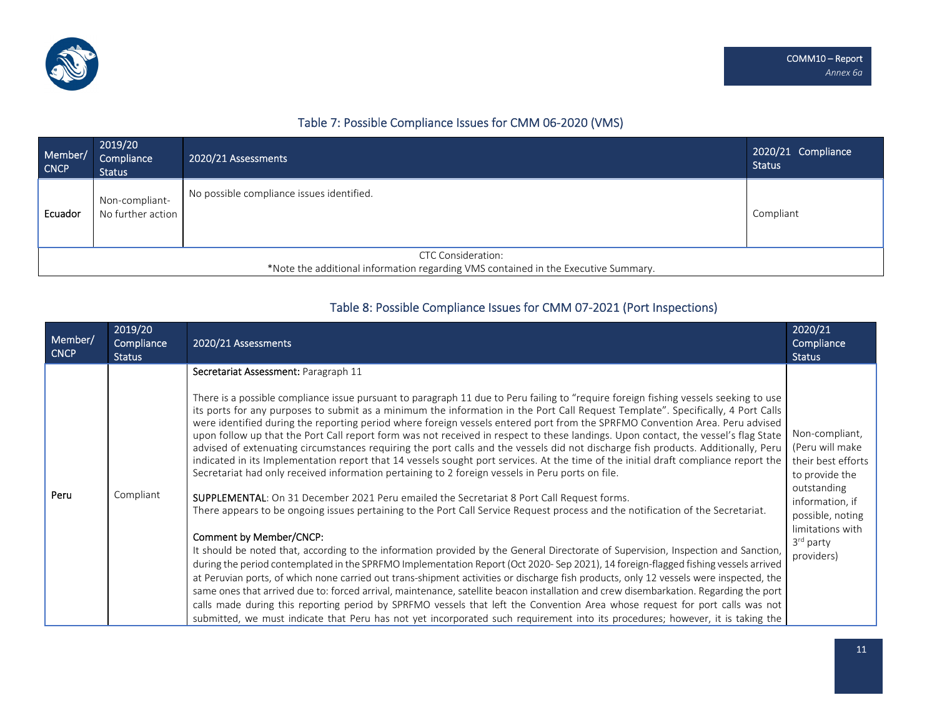

### Table 7: Possible Compliance Issues for CMM 06‐2020 (VMS)

| Member/<br><b>CNCP</b>                                                             | 2019/20<br>Compliance<br><b>Status</b> | 2020/21 Assessments                       | 2020/21 Compliance<br><b>Status</b> |
|------------------------------------------------------------------------------------|----------------------------------------|-------------------------------------------|-------------------------------------|
| Ecuador                                                                            | Non-compliant-<br>No further action    | No possible compliance issues identified. | Compliant                           |
| <b>CTC Consideration:</b>                                                          |                                        |                                           |                                     |
| *Note the additional information regarding VMS contained in the Executive Summary. |                                        |                                           |                                     |

### Table 8: Possible Compliance Issues for CMM 07‐2021 (Port Inspections)

| Member/<br><b>CNCP</b> | 2019/20<br>Compliance<br><b>Status</b> | 2020/21 Assessments                                                                                                                                                                                                                                                                                                                                                                                                                                                                                                                                                                                                                                                                                                                                                                                                                                                                                                                                                                                                                                                                                                                                                                                                                                                                                                                                                                                                                                                                                                                                                                                                                                                                                                                                                                                                                                                                                                                                                                                                                                                 | 2020/21<br>Compliance<br><b>Status</b>                                                                                                                                                     |
|------------------------|----------------------------------------|---------------------------------------------------------------------------------------------------------------------------------------------------------------------------------------------------------------------------------------------------------------------------------------------------------------------------------------------------------------------------------------------------------------------------------------------------------------------------------------------------------------------------------------------------------------------------------------------------------------------------------------------------------------------------------------------------------------------------------------------------------------------------------------------------------------------------------------------------------------------------------------------------------------------------------------------------------------------------------------------------------------------------------------------------------------------------------------------------------------------------------------------------------------------------------------------------------------------------------------------------------------------------------------------------------------------------------------------------------------------------------------------------------------------------------------------------------------------------------------------------------------------------------------------------------------------------------------------------------------------------------------------------------------------------------------------------------------------------------------------------------------------------------------------------------------------------------------------------------------------------------------------------------------------------------------------------------------------------------------------------------------------------------------------------------------------|--------------------------------------------------------------------------------------------------------------------------------------------------------------------------------------------|
| Peru                   | Compliant                              | Secretariat Assessment: Paragraph 11<br>There is a possible compliance issue pursuant to paragraph 11 due to Peru failing to "require foreign fishing vessels seeking to use<br>its ports for any purposes to submit as a minimum the information in the Port Call Request Template". Specifically, 4 Port Calls<br>were identified during the reporting period where foreign vessels entered port from the SPRFMO Convention Area. Peru advised<br>upon follow up that the Port Call report form was not received in respect to these landings. Upon contact, the vessel's flag State<br>advised of extenuating circumstances requiring the port calls and the vessels did not discharge fish products. Additionally, Peru<br>indicated in its Implementation report that 14 vessels sought port services. At the time of the initial draft compliance report the<br>Secretariat had only received information pertaining to 2 foreign vessels in Peru ports on file.<br>SUPPLEMENTAL: On 31 December 2021 Peru emailed the Secretariat 8 Port Call Request forms.<br>There appears to be ongoing issues pertaining to the Port Call Service Request process and the notification of the Secretariat.<br>Comment by Member/CNCP:<br>It should be noted that, according to the information provided by the General Directorate of Supervision, Inspection and Sanction,<br>during the period contemplated in the SPRFMO Implementation Report (Oct 2020- Sep 2021), 14 foreign-flagged fishing vessels arrived<br>at Peruvian ports, of which none carried out trans-shipment activities or discharge fish products, only 12 vessels were inspected, the<br>same ones that arrived due to: forced arrival, maintenance, satellite beacon installation and crew disembarkation. Regarding the port<br>calls made during this reporting period by SPRFMO vessels that left the Convention Area whose request for port calls was not<br>submitted, we must indicate that Peru has not yet incorporated such requirement into its procedures; however, it is taking the | Non-compliant,<br>(Peru will make<br>their best efforts<br>to provide the<br>outstanding<br>information, if<br>possible, noting<br>limitations with<br>3 <sup>rd</sup> party<br>providers) |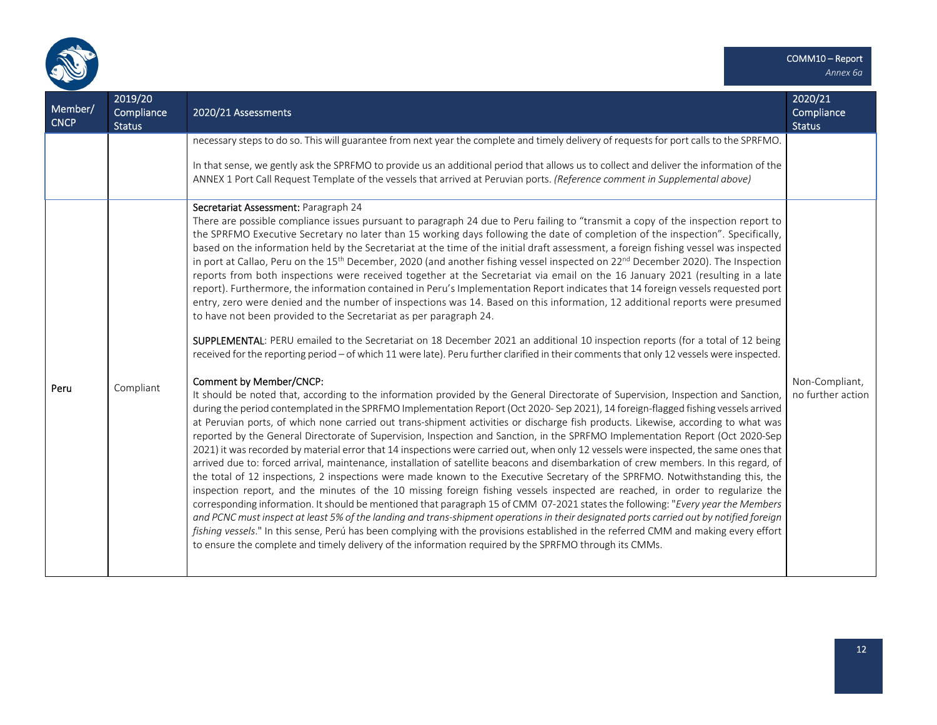

| Member/<br><b>CNCP</b> | 2019/20<br>Compliance<br>Status | 2020/21 Assessments                                                                                                                                                                                                                                                                                                                                                                                                                                                                                                                                                                                                                                                                                                                                                                                                                                                                                                                                                                                                                                                                                                                                                                                                                                                                                                                                                                                                                                                                                                                                                                                                                                                                                                                                                                                                                                                                                                                                                                                                                                                                                                                                                                                                                                                                                                                                                                                                                                                                                                                                                                                                                                                                                                                                                                                                                                                                                                                                                                                                                                     | 2020/21<br>Compliance<br><b>Status</b> |
|------------------------|---------------------------------|---------------------------------------------------------------------------------------------------------------------------------------------------------------------------------------------------------------------------------------------------------------------------------------------------------------------------------------------------------------------------------------------------------------------------------------------------------------------------------------------------------------------------------------------------------------------------------------------------------------------------------------------------------------------------------------------------------------------------------------------------------------------------------------------------------------------------------------------------------------------------------------------------------------------------------------------------------------------------------------------------------------------------------------------------------------------------------------------------------------------------------------------------------------------------------------------------------------------------------------------------------------------------------------------------------------------------------------------------------------------------------------------------------------------------------------------------------------------------------------------------------------------------------------------------------------------------------------------------------------------------------------------------------------------------------------------------------------------------------------------------------------------------------------------------------------------------------------------------------------------------------------------------------------------------------------------------------------------------------------------------------------------------------------------------------------------------------------------------------------------------------------------------------------------------------------------------------------------------------------------------------------------------------------------------------------------------------------------------------------------------------------------------------------------------------------------------------------------------------------------------------------------------------------------------------------------------------------------------------------------------------------------------------------------------------------------------------------------------------------------------------------------------------------------------------------------------------------------------------------------------------------------------------------------------------------------------------------------------------------------------------------------------------------------------------|----------------------------------------|
|                        |                                 | necessary steps to do so. This will guarantee from next year the complete and timely delivery of requests for port calls to the SPRFMO.<br>In that sense, we gently ask the SPRFMO to provide us an additional period that allows us to collect and deliver the information of the<br>ANNEX 1 Port Call Request Template of the vessels that arrived at Peruvian ports. (Reference comment in Supplemental above)                                                                                                                                                                                                                                                                                                                                                                                                                                                                                                                                                                                                                                                                                                                                                                                                                                                                                                                                                                                                                                                                                                                                                                                                                                                                                                                                                                                                                                                                                                                                                                                                                                                                                                                                                                                                                                                                                                                                                                                                                                                                                                                                                                                                                                                                                                                                                                                                                                                                                                                                                                                                                                       |                                        |
| Peru                   | Compliant                       | Secretariat Assessment: Paragraph 24<br>There are possible compliance issues pursuant to paragraph 24 due to Peru failing to "transmit a copy of the inspection report to<br>the SPRFMO Executive Secretary no later than 15 working days following the date of completion of the inspection". Specifically,<br>based on the information held by the Secretariat at the time of the initial draft assessment, a foreign fishing vessel was inspected<br>in port at Callao, Peru on the 15 <sup>th</sup> December, 2020 (and another fishing vessel inspected on 22 <sup>nd</sup> December 2020). The Inspection<br>reports from both inspections were received together at the Secretariat via email on the 16 January 2021 (resulting in a late<br>report). Furthermore, the information contained in Peru's Implementation Report indicates that 14 foreign vessels requested port<br>entry, zero were denied and the number of inspections was 14. Based on this information, 12 additional reports were presumed<br>to have not been provided to the Secretariat as per paragraph 24.<br>SUPPLEMENTAL: PERU emailed to the Secretariat on 18 December 2021 an additional 10 inspection reports (for a total of 12 being<br>received for the reporting period - of which 11 were late). Peru further clarified in their comments that only 12 vessels were inspected.<br><b>Comment by Member/CNCP:</b><br>It should be noted that, according to the information provided by the General Directorate of Supervision, Inspection and Sanction,<br>during the period contemplated in the SPRFMO Implementation Report (Oct 2020- Sep 2021), 14 foreign-flagged fishing vessels arrived<br>at Peruvian ports, of which none carried out trans-shipment activities or discharge fish products. Likewise, according to what was<br>reported by the General Directorate of Supervision, Inspection and Sanction, in the SPRFMO Implementation Report (Oct 2020-Sep<br>2021) it was recorded by material error that 14 inspections were carried out, when only 12 vessels were inspected, the same ones that<br>arrived due to: forced arrival, maintenance, installation of satellite beacons and disembarkation of crew members. In this regard, of<br>the total of 12 inspections, 2 inspections were made known to the Executive Secretary of the SPRFMO. Notwithstanding this, the<br>inspection report, and the minutes of the 10 missing foreign fishing vessels inspected are reached, in order to regularize the<br>corresponding information. It should be mentioned that paragraph 15 of CMM 07-2021 states the following: "Every year the Members<br>and PCNC must inspect at least 5% of the landing and trans-shipment operations in their designated ports carried out by notified foreign<br>fishing vessels." In this sense, Perú has been complying with the provisions established in the referred CMM and making every effort<br>to ensure the complete and timely delivery of the information required by the SPRFMO through its CMMs. | Non-Compliant,<br>no further action    |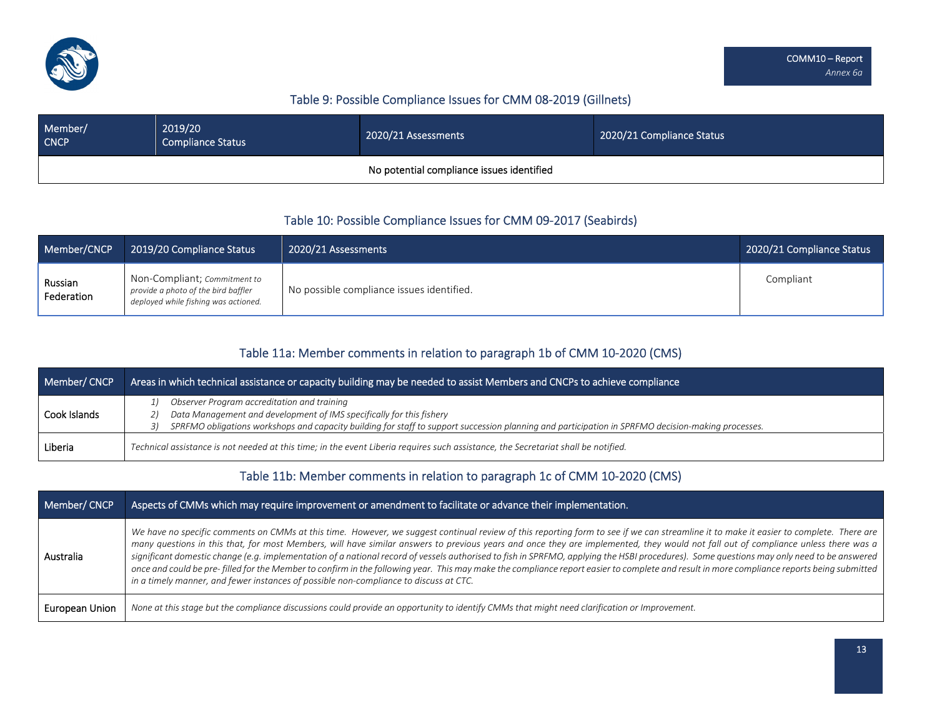

### Table 9: Possible Compliance Issues for CMM 08‐2019 (Gillnets)

| Member/<br><b>CNCP</b> | 2019/20<br><b>Compliance Status</b> | 2020/21 Assessments                       | 2020/21 Compliance Status |
|------------------------|-------------------------------------|-------------------------------------------|---------------------------|
|                        |                                     | No potential compliance issues identified |                           |

### Table 10: Possible Compliance Issues for CMM 09‐2017 (Seabirds)

| Member/CNCP           | 2019/20 Compliance Status                                                                                          | 2020/21 Assessments                       | 2020/21 Compliance Status |
|-----------------------|--------------------------------------------------------------------------------------------------------------------|-------------------------------------------|---------------------------|
| Russian<br>Federation | Non-Compliant; <i>Commitment to</i><br>provide a photo of the bird baffler<br>deployed while fishing was actioned. | No possible compliance issues identified. | Compliant                 |

### Table 11a: Member comments in relation to paragraph 1b of CMM 10‐2020 (CMS)

| Member/CNCP  | Areas in which technical assistance or capacity building may be needed to assist Members and <u>CNCPs to achieve compliance I</u>                                                                                                                                               |  |  |
|--------------|---------------------------------------------------------------------------------------------------------------------------------------------------------------------------------------------------------------------------------------------------------------------------------|--|--|
| Cook Islands | Observer Program accreditation and training<br>Data Management and development of IMS specifically for this fishery<br>21<br>SPRFMO obligations workshops and capacity building for staff to support succession planning and participation in SPRFMO decision-making processes. |  |  |
| Liberia      | Technical assistance is not needed at this time; in the event Liberia requires such assistance, the Secretariat shall be notified.                                                                                                                                              |  |  |

## Table 11b: Member comments in relation to paragraph 1c of CMM 10‐2020 (CMS)

| Member/CNCP    | Aspects of CMMs which may require improvement or amendment to facilitate or advance their implementation.                                                                                                                                                                                                                                                                                                                                                                                                                                                                                                                                                                                                                                                                                                                                                        |
|----------------|------------------------------------------------------------------------------------------------------------------------------------------------------------------------------------------------------------------------------------------------------------------------------------------------------------------------------------------------------------------------------------------------------------------------------------------------------------------------------------------------------------------------------------------------------------------------------------------------------------------------------------------------------------------------------------------------------------------------------------------------------------------------------------------------------------------------------------------------------------------|
| Australia      | We have no specific comments on CMMs at this time. However, we suggest continual review of this reporting form to see if we can streamline it to make it easier to complete. There are<br>many questions in this that, for most Members, will have similar answers to previous years and once they are implemented, they would not fall out of compliance unless there was a<br>significant domestic change (e.g. implementation of a national record of vessels authorised to fish in SPRFMO, applying the HSBI procedures). Some questions may only need to be answered<br>once and could be pre-filled for the Member to confirm in the following year. This may make the compliance report easier to complete and result in more compliance reports being submitted<br>in a timely manner, and fewer instances of possible non-compliance to discuss at CTC. |
| European Union | None at this stage but the compliance discussions could provide an opportunity to identify CMMs that might need clarification or Improvement.                                                                                                                                                                                                                                                                                                                                                                                                                                                                                                                                                                                                                                                                                                                    |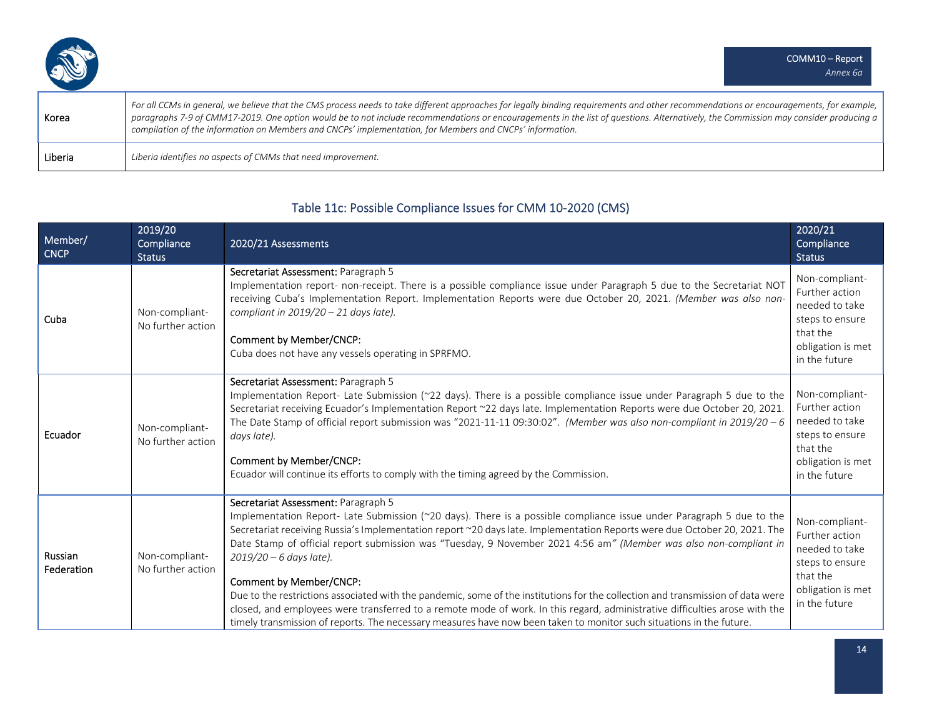| Korea   | For all CCMs in general, we believe that the CMS process needs to take different approaches for legally binding requirements and other recommendations or encouragements, for example,<br>$\mid$ paragraphs 7-9 of CMM17-2019. One option would be to not include recommendations or encouragements in the list of questions. Alternatively, the Commission may consider producing a<br>compilation of the information on Members and CNCPs' implementation, for Members and CNCPs' information. |
|---------|--------------------------------------------------------------------------------------------------------------------------------------------------------------------------------------------------------------------------------------------------------------------------------------------------------------------------------------------------------------------------------------------------------------------------------------------------------------------------------------------------|
| Liberia | Liberia identifies no aspects of CMMs that need improvement.                                                                                                                                                                                                                                                                                                                                                                                                                                     |

## Table 11c: Possible Compliance Issues for CMM 10‐2020 (CMS)

| Member/<br><b>CNCP</b> | 2019/20<br>Compliance<br><b>Status</b> | 2020/21 Assessments                                                                                                                                                                                                                                                                                                                                                                                                                                                                                                                                                                                                                                                                                                                                                                                                                                             | 2020/21<br>Compliance<br><b>Status</b>                                                                                  |
|------------------------|----------------------------------------|-----------------------------------------------------------------------------------------------------------------------------------------------------------------------------------------------------------------------------------------------------------------------------------------------------------------------------------------------------------------------------------------------------------------------------------------------------------------------------------------------------------------------------------------------------------------------------------------------------------------------------------------------------------------------------------------------------------------------------------------------------------------------------------------------------------------------------------------------------------------|-------------------------------------------------------------------------------------------------------------------------|
| Cuba                   | Non-compliant-<br>No further action    | Secretariat Assessment: Paragraph 5<br>Implementation report- non-receipt. There is a possible compliance issue under Paragraph 5 due to the Secretariat NOT<br>receiving Cuba's Implementation Report. Implementation Reports were due October 20, 2021. (Member was also non-<br>compliant in $2019/20 - 21$ days late).<br>Comment by Member/CNCP:<br>Cuba does not have any vessels operating in SPRFMO.                                                                                                                                                                                                                                                                                                                                                                                                                                                    | Non-compliant-<br>Further action<br>needed to take<br>steps to ensure<br>that the<br>obligation is met<br>in the future |
| Ecuador                | Non-compliant-<br>No further action    | Secretariat Assessment: Paragraph 5<br>Implementation Report- Late Submission (~22 days). There is a possible compliance issue under Paragraph 5 due to the<br>Secretariat receiving Ecuador's Implementation Report ~22 days late. Implementation Reports were due October 20, 2021.<br>The Date Stamp of official report submission was "2021-11-11 09:30:02". (Member was also non-compliant in 2019/20 - 6<br>days late).<br>Comment by Member/CNCP:<br>Ecuador will continue its efforts to comply with the timing agreed by the Commission.                                                                                                                                                                                                                                                                                                               | Non-compliant-<br>Further action<br>needed to take<br>steps to ensure<br>that the<br>obligation is met<br>in the future |
| Russian<br>Federation  | Non-compliant-<br>No further action    | Secretariat Assessment: Paragraph 5<br>Implementation Report- Late Submission (~20 days). There is a possible compliance issue under Paragraph 5 due to the<br>Secretariat receiving Russia's Implementation report ~20 days late. Implementation Reports were due October 20, 2021. The<br>Date Stamp of official report submission was "Tuesday, 9 November 2021 4:56 am" (Member was also non-compliant in<br>$2019/20 - 6$ days late).<br>Comment by Member/CNCP:<br>Due to the restrictions associated with the pandemic, some of the institutions for the collection and transmission of data were<br>closed, and employees were transferred to a remote mode of work. In this regard, administrative difficulties arose with the<br>timely transmission of reports. The necessary measures have now been taken to monitor such situations in the future. | Non-compliant-<br>Further action<br>needed to take<br>steps to ensure<br>that the<br>obligation is met<br>in the future |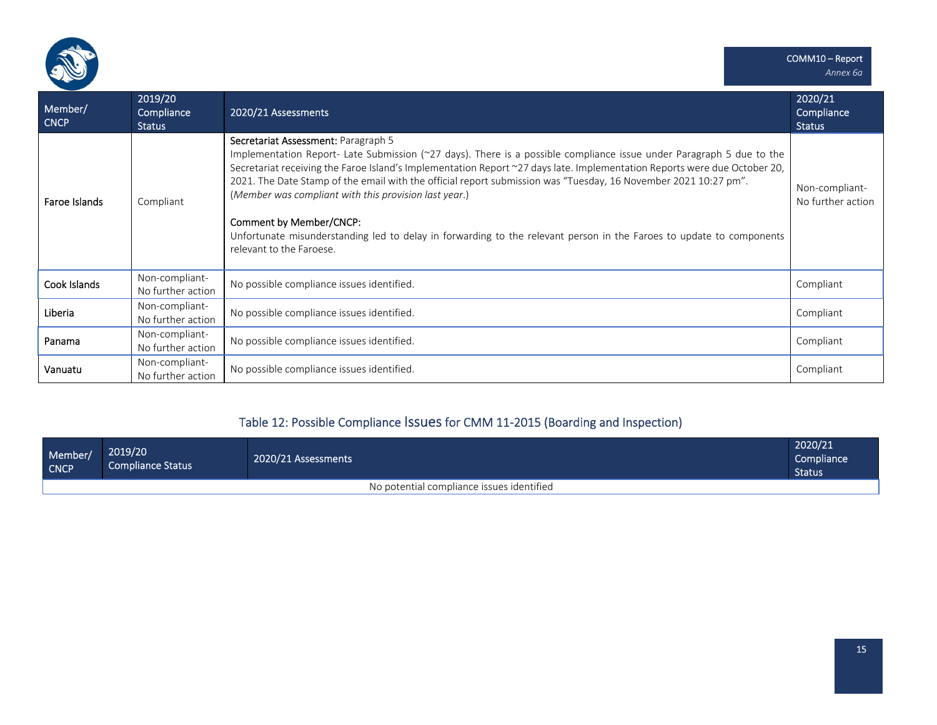

| Member/<br><b>CNCP</b> | 2019/20<br>Compliance<br><b>Status</b> | 2020/21 Assessments                                                                                                                                                                                                                                                                                                                                                                                                                                                                                                                                                                                                                                        | 2020/21<br>Compliance<br><b>Status</b> |
|------------------------|----------------------------------------|------------------------------------------------------------------------------------------------------------------------------------------------------------------------------------------------------------------------------------------------------------------------------------------------------------------------------------------------------------------------------------------------------------------------------------------------------------------------------------------------------------------------------------------------------------------------------------------------------------------------------------------------------------|----------------------------------------|
| Faroe Islands          | Compliant                              | Secretariat Assessment: Paragraph 5<br>Implementation Report- Late Submission (~27 days). There is a possible compliance issue under Paragraph 5 due to the<br>Secretariat receiving the Faroe Island's Implementation Report ~27 days late. Implementation Reports were due October 20,<br>2021. The Date Stamp of the email with the official report submission was "Tuesday, 16 November 2021 10:27 pm".<br>(Member was compliant with this provision last year.)<br><b>Comment by Member/CNCP:</b><br>Unfortunate misunderstanding led to delay in forwarding to the relevant person in the Faroes to update to components<br>relevant to the Faroese. | Non-compliant-<br>No further action    |
| Cook Islands           | Non-compliant-<br>No further action    | No possible compliance issues identified.                                                                                                                                                                                                                                                                                                                                                                                                                                                                                                                                                                                                                  | Compliant                              |
| Liberia                | Non-compliant-<br>No further action    | No possible compliance issues identified.                                                                                                                                                                                                                                                                                                                                                                                                                                                                                                                                                                                                                  | Compliant                              |
| Panama                 | Non-compliant-<br>No further action    | No possible compliance issues identified.                                                                                                                                                                                                                                                                                                                                                                                                                                                                                                                                                                                                                  | Compliant                              |
| Vanuatu                | Non-compliant-<br>No further action    | No possible compliance issues identified.                                                                                                                                                                                                                                                                                                                                                                                                                                                                                                                                                                                                                  | Compliant                              |

# Table 12: Possible Compliance Issues for CMM <sup>11</sup>‐2015 (Boarding and Inspection)

| Member/<br><b>CNCP</b>                    | 2019/20<br> Compliance Status ' | 2020/21 Assessments | 2020/21<br>Compliance<br>Status |  |  |
|-------------------------------------------|---------------------------------|---------------------|---------------------------------|--|--|
| No potential compliance issues identified |                                 |                     |                                 |  |  |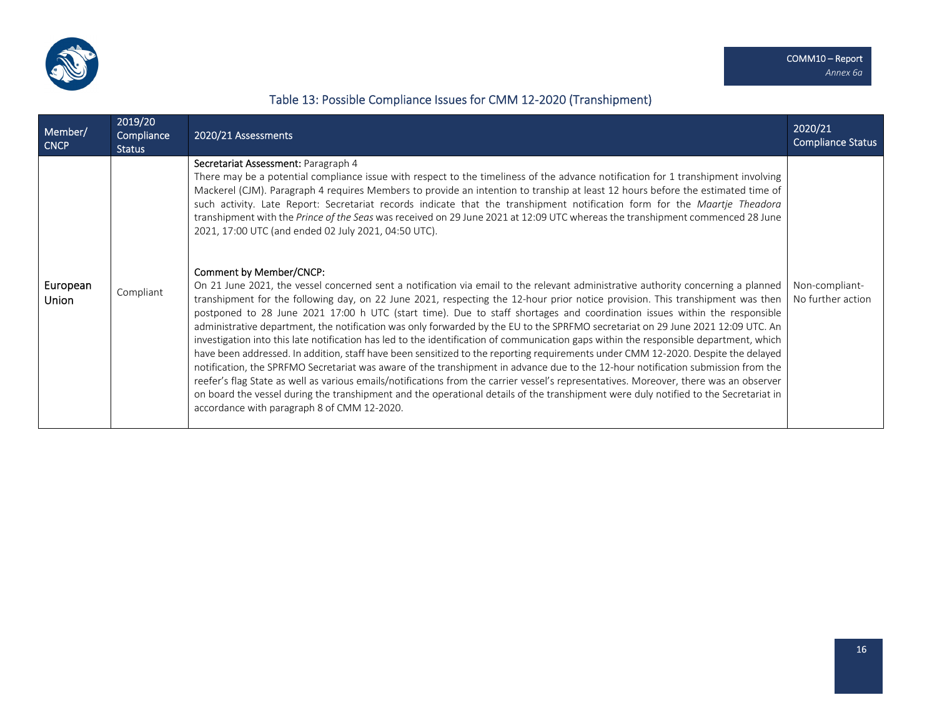

## Table 13: Possible Compliance Issues for CMM 12‐2020 (Transhipment)

| Member/<br><b>CNCP</b> | 2019/20<br>Compliance<br><b>Status</b> | 2020/21 Assessments                                                                                                                                                                                                                                                                                                                                                                                                                                                                                                                                                                                                                                                                                                                                                                                                                                                                                                                                                                                                                                                                                                                                                                                                                                                                                                  | 2020/21<br><b>Compliance Status</b> |
|------------------------|----------------------------------------|----------------------------------------------------------------------------------------------------------------------------------------------------------------------------------------------------------------------------------------------------------------------------------------------------------------------------------------------------------------------------------------------------------------------------------------------------------------------------------------------------------------------------------------------------------------------------------------------------------------------------------------------------------------------------------------------------------------------------------------------------------------------------------------------------------------------------------------------------------------------------------------------------------------------------------------------------------------------------------------------------------------------------------------------------------------------------------------------------------------------------------------------------------------------------------------------------------------------------------------------------------------------------------------------------------------------|-------------------------------------|
|                        |                                        | Secretariat Assessment: Paragraph 4<br>There may be a potential compliance issue with respect to the timeliness of the advance notification for 1 transhipment involving<br>Mackerel (CJM). Paragraph 4 requires Members to provide an intention to tranship at least 12 hours before the estimated time of<br>such activity. Late Report: Secretariat records indicate that the transhipment notification form for the Maartje Theadora<br>transhipment with the Prince of the Seas was received on 29 June 2021 at 12:09 UTC whereas the transhipment commenced 28 June<br>2021, 17:00 UTC (and ended 02 July 2021, 04:50 UTC).                                                                                                                                                                                                                                                                                                                                                                                                                                                                                                                                                                                                                                                                                    |                                     |
| European<br>Union      | Compliant                              | Comment by Member/CNCP:<br>On 21 June 2021, the vessel concerned sent a notification via email to the relevant administrative authority concerning a planned<br>transhipment for the following day, on 22 June 2021, respecting the 12-hour prior notice provision. This transhipment was then<br>postponed to 28 June 2021 17:00 h UTC (start time). Due to staff shortages and coordination issues within the responsible<br>administrative department, the notification was only forwarded by the EU to the SPRFMO secretariat on 29 June 2021 12:09 UTC. An<br>investigation into this late notification has led to the identification of communication gaps within the responsible department, which<br>have been addressed. In addition, staff have been sensitized to the reporting requirements under CMM 12-2020. Despite the delayed<br>notification, the SPRFMO Secretariat was aware of the transhipment in advance due to the 12-hour notification submission from the<br>reefer's flag State as well as various emails/notifications from the carrier vessel's representatives. Moreover, there was an observer<br>on board the vessel during the transhipment and the operational details of the transhipment were duly notified to the Secretariat in<br>accordance with paragraph 8 of CMM 12-2020. | Non-compliant-<br>No further action |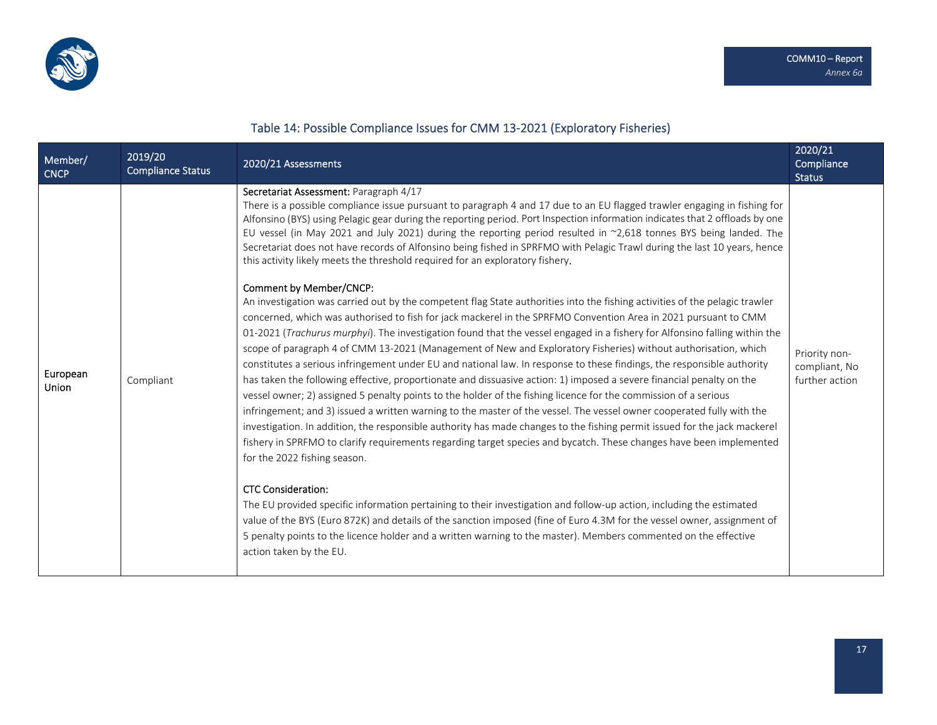

# Table 14: Possible Compliance Issues for CMM 13‐2021 (Exploratory Fisheries)

| Member/<br><b>CNCP</b>   | 2019/20<br><b>Compliance Status</b> | 2020/21 Assessments                                                                                                                                                                                                                                                                                                                                                                                                                                                                                                                                                                                                                                                                                                                                                                                                                                                                                                                                                                                                                                                                                                                                                                                                                                                                                                                                                                                                                                                                                                                                                                                                                                                                                                                                                                                                                                                                                                                                                                                                                                                                                                                                                                                                                                                                                                                                                               | 2020/21<br>Compliance<br><b>Status</b>           |
|--------------------------|-------------------------------------|-----------------------------------------------------------------------------------------------------------------------------------------------------------------------------------------------------------------------------------------------------------------------------------------------------------------------------------------------------------------------------------------------------------------------------------------------------------------------------------------------------------------------------------------------------------------------------------------------------------------------------------------------------------------------------------------------------------------------------------------------------------------------------------------------------------------------------------------------------------------------------------------------------------------------------------------------------------------------------------------------------------------------------------------------------------------------------------------------------------------------------------------------------------------------------------------------------------------------------------------------------------------------------------------------------------------------------------------------------------------------------------------------------------------------------------------------------------------------------------------------------------------------------------------------------------------------------------------------------------------------------------------------------------------------------------------------------------------------------------------------------------------------------------------------------------------------------------------------------------------------------------------------------------------------------------------------------------------------------------------------------------------------------------------------------------------------------------------------------------------------------------------------------------------------------------------------------------------------------------------------------------------------------------------------------------------------------------------------------------------------------------|--------------------------------------------------|
| European<br><b>Union</b> | Compliant                           | Secretariat Assessment: Paragraph 4/17<br>There is a possible compliance issue pursuant to paragraph 4 and 17 due to an EU flagged trawler engaging in fishing for<br>Alfonsino (BYS) using Pelagic gear during the reporting period. Port Inspection information indicates that 2 offloads by one<br>EU vessel (in May 2021 and July 2021) during the reporting period resulted in ~2,618 tonnes BYS being landed. The<br>Secretariat does not have records of Alfonsino being fished in SPRFMO with Pelagic Trawl during the last 10 years, hence<br>this activity likely meets the threshold required for an exploratory fishery.<br>Comment by Member/CNCP:<br>An investigation was carried out by the competent flag State authorities into the fishing activities of the pelagic trawler<br>concerned, which was authorised to fish for jack mackerel in the SPRFMO Convention Area in 2021 pursuant to CMM<br>01-2021 (Trachurus murphyi). The investigation found that the vessel engaged in a fishery for Alfonsino falling within the<br>scope of paragraph 4 of CMM 13-2021 (Management of New and Exploratory Fisheries) without authorisation, which<br>constitutes a serious infringement under EU and national law. In response to these findings, the responsible authority<br>has taken the following effective, proportionate and dissuasive action: 1) imposed a severe financial penalty on the<br>vessel owner; 2) assigned 5 penalty points to the holder of the fishing licence for the commission of a serious<br>infringement; and 3) issued a written warning to the master of the vessel. The vessel owner cooperated fully with the<br>investigation. In addition, the responsible authority has made changes to the fishing permit issued for the jack mackerel<br>fishery in SPRFMO to clarify requirements regarding target species and bycatch. These changes have been implemented<br>for the 2022 fishing season.<br><b>CTC Consideration:</b><br>The EU provided specific information pertaining to their investigation and follow-up action, including the estimated<br>value of the BYS (Euro 872K) and details of the sanction imposed (fine of Euro 4.3M for the vessel owner, assignment of<br>5 penalty points to the licence holder and a written warning to the master). Members commented on the effective<br>action taken by the EU. | Priority non-<br>compliant, No<br>further action |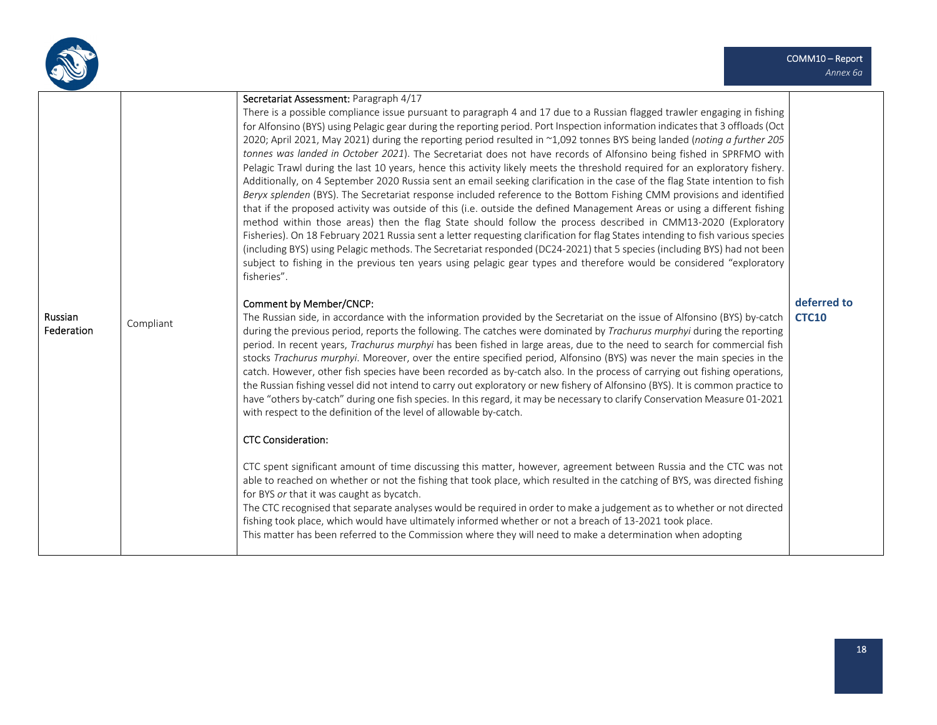

|                       |           | Secretariat Assessment: Paragraph 4/17<br>There is a possible compliance issue pursuant to paragraph 4 and 17 due to a Russian flagged trawler engaging in fishing<br>for Alfonsino (BYS) using Pelagic gear during the reporting period. Port Inspection information indicates that 3 offloads (Oct<br>2020; April 2021, May 2021) during the reporting period resulted in ~1,092 tonnes BYS being landed (noting a further 205<br>tonnes was landed in October 2021). The Secretariat does not have records of Alfonsino being fished in SPRFMO with<br>Pelagic Trawl during the last 10 years, hence this activity likely meets the threshold required for an exploratory fishery.<br>Additionally, on 4 September 2020 Russia sent an email seeking clarification in the case of the flag State intention to fish<br>Beryx splenden (BYS). The Secretariat response included reference to the Bottom Fishing CMM provisions and identified<br>that if the proposed activity was outside of this (i.e. outside the defined Management Areas or using a different fishing<br>method within those areas) then the flag State should follow the process described in CMM13-2020 (Exploratory |                             |
|-----------------------|-----------|----------------------------------------------------------------------------------------------------------------------------------------------------------------------------------------------------------------------------------------------------------------------------------------------------------------------------------------------------------------------------------------------------------------------------------------------------------------------------------------------------------------------------------------------------------------------------------------------------------------------------------------------------------------------------------------------------------------------------------------------------------------------------------------------------------------------------------------------------------------------------------------------------------------------------------------------------------------------------------------------------------------------------------------------------------------------------------------------------------------------------------------------------------------------------------------------|-----------------------------|
|                       |           | Fisheries). On 18 February 2021 Russia sent a letter requesting clarification for flag States intending to fish various species<br>(including BYS) using Pelagic methods. The Secretariat responded (DC24-2021) that 5 species (including BYS) had not been<br>subject to fishing in the previous ten years using pelagic gear types and therefore would be considered "exploratory<br>fisheries".                                                                                                                                                                                                                                                                                                                                                                                                                                                                                                                                                                                                                                                                                                                                                                                           |                             |
| Russian<br>Federation | Compliant | <b>Comment by Member/CNCP:</b><br>The Russian side, in accordance with the information provided by the Secretariat on the issue of Alfonsino (BYS) by-catch<br>during the previous period, reports the following. The catches were dominated by Trachurus murphyi during the reporting<br>period. In recent years, Trachurus murphyi has been fished in large areas, due to the need to search for commercial fish<br>stocks Trachurus murphyi. Moreover, over the entire specified period, Alfonsino (BYS) was never the main species in the<br>catch. However, other fish species have been recorded as by-catch also. In the process of carrying out fishing operations,<br>the Russian fishing vessel did not intend to carry out exploratory or new fishery of Alfonsino (BYS). It is common practice to<br>have "others by-catch" during one fish species. In this regard, it may be necessary to clarify Conservation Measure 01-2021<br>with respect to the definition of the level of allowable by-catch.<br><b>CTC Consideration:</b>                                                                                                                                              | deferred to<br><b>CTC10</b> |
|                       |           | CTC spent significant amount of time discussing this matter, however, agreement between Russia and the CTC was not<br>able to reached on whether or not the fishing that took place, which resulted in the catching of BYS, was directed fishing<br>for BYS or that it was caught as bycatch.<br>The CTC recognised that separate analyses would be required in order to make a judgement as to whether or not directed<br>fishing took place, which would have ultimately informed whether or not a breach of 13-2021 took place.<br>This matter has been referred to the Commission where they will need to make a determination when adopting                                                                                                                                                                                                                                                                                                                                                                                                                                                                                                                                             |                             |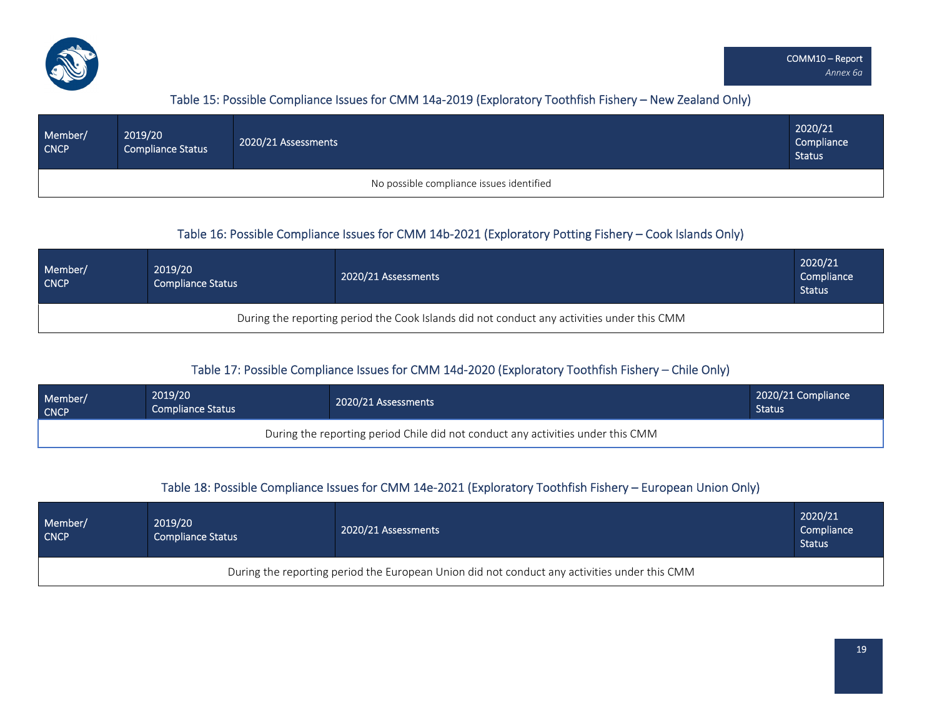

### Table 15: Possible Compliance Issues for CMM 14a‐2019 (Exploratory Toothfish Fishery – New ZealandOnly)

| Member/<br><b>CNCP</b> | 2019/20<br><b>Compliance Status</b> | 2020/21 Assessments                      | 2020/21<br>Compliance<br><b>Status</b> |
|------------------------|-------------------------------------|------------------------------------------|----------------------------------------|
|                        |                                     | No possible compliance issues identified |                                        |

### Table 16: Possible Compliance Issues for CMM 14b-2021 (Exploratory Potting Fishery – Cook Islands Only)

| Member/<br><b>CNCP</b>                                                                     | 2019/20<br><b>Compliance Status</b> | 2020/21 Assessments | 2020/21<br>Compliance<br><b>Status</b> |  |  |  |  |  |  |  |
|--------------------------------------------------------------------------------------------|-------------------------------------|---------------------|----------------------------------------|--|--|--|--|--|--|--|
| During the reporting period the Cook Islands did not conduct any activities under this CMM |                                     |                     |                                        |  |  |  |  |  |  |  |

### Table 17: Possible Compliance Issues for CMM 14d‐2020 (Exploratory Toothfish Fishery – Chile Only)

| Member/     | 2019/20                                                                         | 2020/21 Assessments | 2020/21 Compliance |  |  |  |  |  |  |  |  |
|-------------|---------------------------------------------------------------------------------|---------------------|--------------------|--|--|--|--|--|--|--|--|
| <b>CNCP</b> | <b>Compliance Status</b>                                                        |                     | <b>Status</b>      |  |  |  |  |  |  |  |  |
|             | During the reporting period Chile did not conduct any activities under this CMM |                     |                    |  |  |  |  |  |  |  |  |

#### Table 18: Possible Compliance Issues for CMM 14e-2021 (Exploratory Toothfish Fishery – European Union Only)

| Member/<br><b>CNCP</b>                                                                       | 2019/20<br><b>Compliance Status</b> | 2020/21 Assessments | 2020/21<br>Compliance<br><b>Status</b> |  |  |  |  |  |  |  |
|----------------------------------------------------------------------------------------------|-------------------------------------|---------------------|----------------------------------------|--|--|--|--|--|--|--|
| During the reporting period the European Union did not conduct any activities under this CMM |                                     |                     |                                        |  |  |  |  |  |  |  |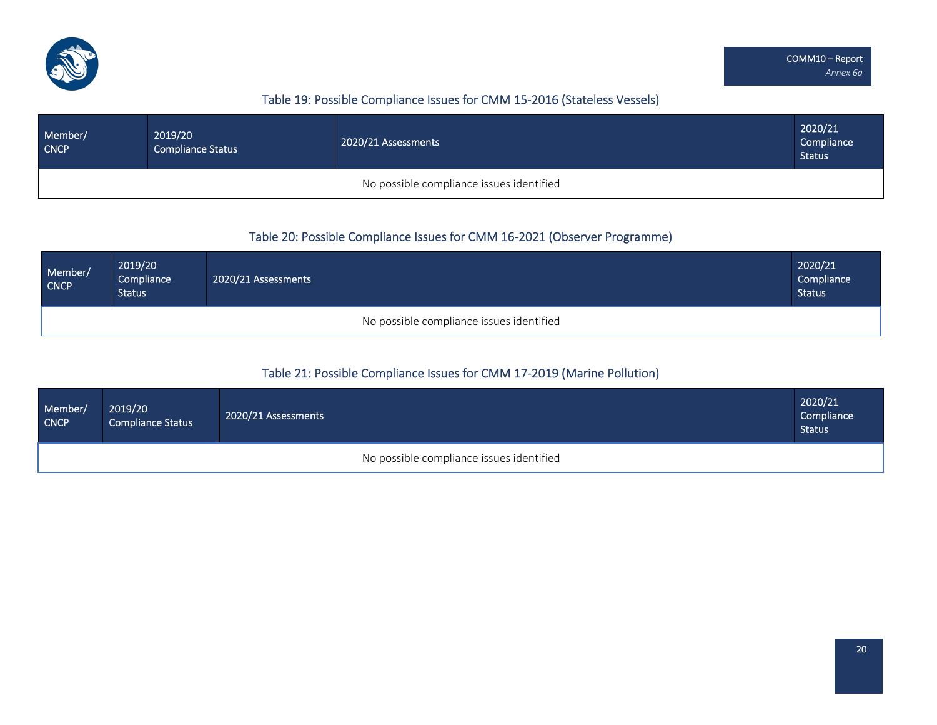

## Table 19: Possible Compliance Issues for CMM 15‐2016 (Stateless Vessels)

| Member/<br><b>CNCP</b>                   | 2019/20<br><b>Compliance Status</b> | 2020/21 Assessments | 2020/21<br>Compliance<br><b>Status</b> |  |  |  |  |  |  |  |
|------------------------------------------|-------------------------------------|---------------------|----------------------------------------|--|--|--|--|--|--|--|
| No possible compliance issues identified |                                     |                     |                                        |  |  |  |  |  |  |  |

### Table 20: Possible Compliance Issues for CMM 16‐2021 (Observer Programme)

| Member/<br>CNCP                          | 2019/20<br>Compliance<br><b>Status</b> | 2020/21 Assessments | 2020/21<br>Compliance<br><b>Status</b> |  |  |  |  |  |  |
|------------------------------------------|----------------------------------------|---------------------|----------------------------------------|--|--|--|--|--|--|
| No possible compliance issues identified |                                        |                     |                                        |  |  |  |  |  |  |

### Table 21: Possible Compliance Issues for CMM 17‐2019 (Marine Pollution)

| Member/<br><b>CNCP</b> | 2019/20<br><b>Compliance Status</b> | 2020/21 Assessments                      | 2020/21<br>Compliance<br><b>Status</b> |
|------------------------|-------------------------------------|------------------------------------------|----------------------------------------|
|                        |                                     | No possible compliance issues identified |                                        |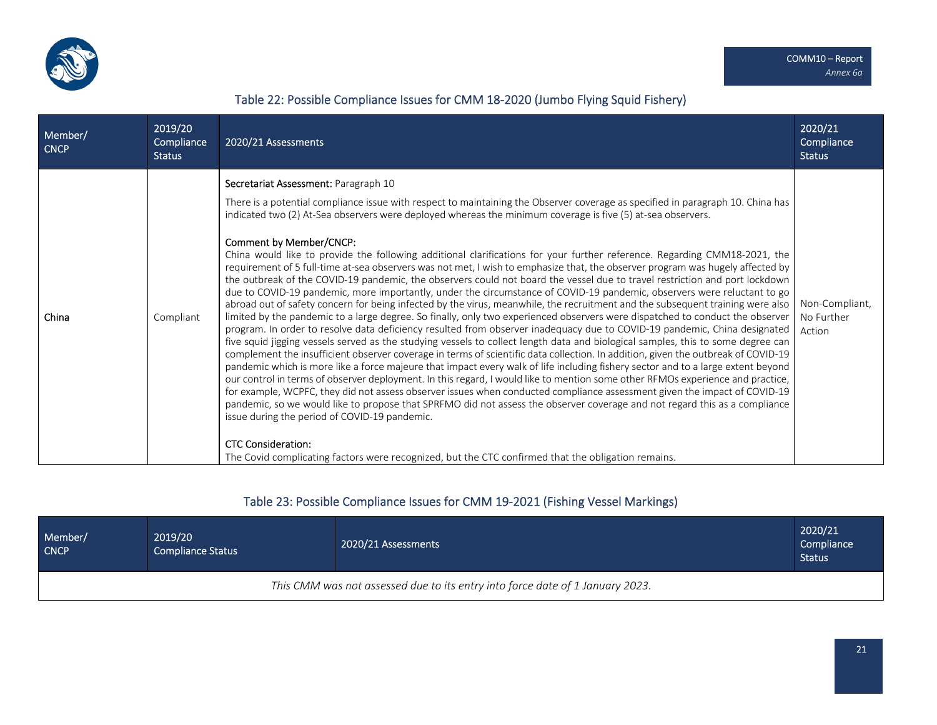

#### Table 22: Possible Compliance Issues for CMM 18‐2020 (Jumbo Flying Squid Fishery)

Member/ **CNCP** 2019/20 **Compliance** Status 2020/21 Assessments 2020/21 **Compliance** Status China Compliant **Secretariat Assessment:** Paragraph 10 There is <sup>a</sup> potential compliance issue with respect to maintaining the Observer coverage as specified in paragraph 10. China has indicated two (2) At‐Sea observers were deployed whereas the minimum coverage is five (5) at‐sea observers. Comment by Member/CNCP: China would like to provide the following additional clarifications for your further reference. Regarding CMM18‐2021, the requirement of 5 full‐time at‐sea observers was not met, I wish to emphasize that, the observer program was hugely affected by the outbreak of the COVID‐19 pandemic, the observers could not board the vessel due to travel restriction and port lockdown due to COVID‐19 pandemic, more importantly, under the circumstance of COVID‐19 pandemic, observers were reluctant to go abroad out of safety concern for being infected by the virus, meanwhile, the recruitment and the subsequent training were also limited by the pandemic to <sup>a</sup> large degree. So finally, only two experienced observers were dispatched to conduct the observer program. In order to resolve data deficiency resulted from observer inadequacy due to COVID‐19 pandemic, China designated five squid jigging vessels served as the studying vessels to collect length data and biological samples, this to some degree can complement the insufficient observer coverage in terms of scientific data collection. In addition, given the outbreak of COVID‐19 pandemic which is more like <sup>a</sup> force majeure that impact every walk of life including fishery sector and to <sup>a</sup> large extent beyond our control in terms of observer deployment. In this regard, I would like to mention some other RFMOs experience and practice, for example, WCPFC, they did not assess observer issues when conducted compliance assessment given the impact of COVID‐19 pandemic, so we would like to propose that SPRFMO did not assess the observer coverage and not regard this as <sup>a</sup> compliance issue during the period of COVID‐19 pandemic. CTC Consideration: The Covid complicating factors were recognized, but the CTC confirmed that the obligation remains. Non‐Compliant, No Further Action

#### Table 23: Possible Compliance Issues for CMM 19‐2021 (Fishing Vessel Markings)

| Member/<br><b>CNCP</b>                                                        | 2019/20<br><b>Compliance Status</b> | 2020/21 Assessments | 2020/21<br>Compliance<br><b>Status</b> |  |  |  |  |  |  |  |
|-------------------------------------------------------------------------------|-------------------------------------|---------------------|----------------------------------------|--|--|--|--|--|--|--|
| This CMM was not assessed due to its entry into force date of 1 January 2023. |                                     |                     |                                        |  |  |  |  |  |  |  |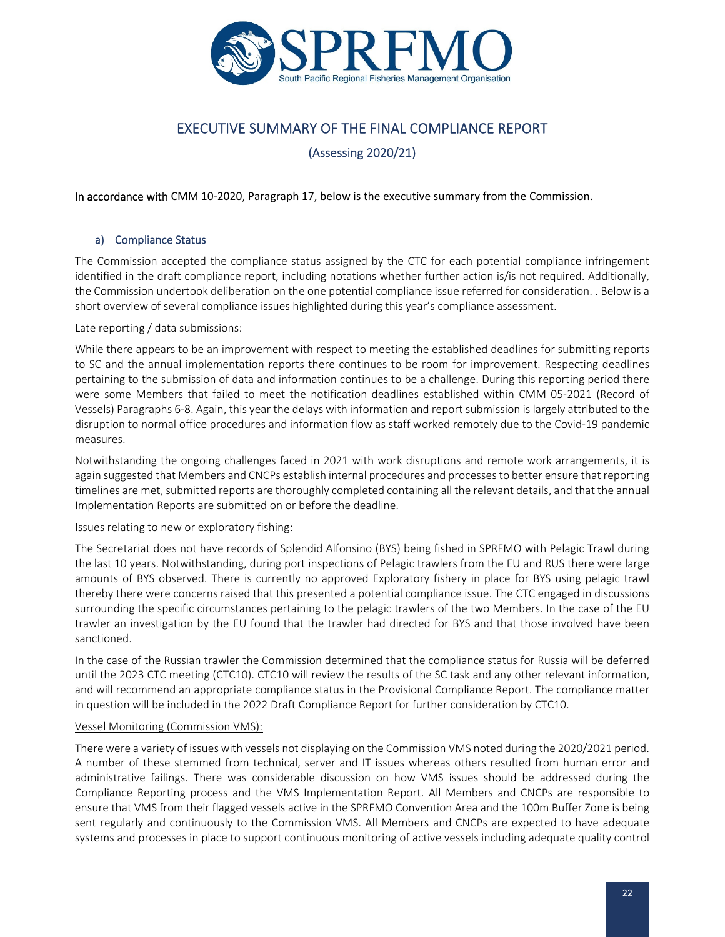

# EXECUTIVE SUMMARY OF THE FINAL COMPLIANCE REPORT

(Assessing 2020/21)

In accordance with CMM 10‐2020, Paragraph 17, below is the executive summary from the Commission.

#### a) Compliance Status

The Commission accepted the compliance status assigned by the CTC for each potential compliance infringement identified in the draft compliance report, including notations whether further action is/is not required. Additionally, the Commission undertook deliberation on the one potential compliance issue referred for consideration. . Below is a short overview of several compliance issues highlighted during this year's compliance assessment.

#### Late reporting / data submissions:

While there appears to be an improvement with respect to meeting the established deadlines for submitting reports to SC and the annual implementation reports there continues to be room for improvement. Respecting deadlines pertaining to the submission of data and information continues to be a challenge. During this reporting period there were some Members that failed to meet the notification deadlines established within CMM 05‐2021 (Record of Vessels) Paragraphs 6‐8. Again, this year the delays with information and report submission is largely attributed to the disruption to normal office procedures and information flow as staff worked remotely due to the Covid‐19 pandemic measures.

Notwithstanding the ongoing challenges faced in 2021 with work disruptions and remote work arrangements, it is again suggested that Members and CNCPs establish internal procedures and processesto better ensure that reporting timelines are met, submitted reports are thoroughly completed containing all the relevant details, and that the annual Implementation Reports are submitted on or before the deadline.

#### Issues relating to new or exploratory fishing:

The Secretariat does not have records of Splendid Alfonsino (BYS) being fished in SPRFMO with Pelagic Trawl during the last 10 years. Notwithstanding, during port inspections of Pelagic trawlers from the EU and RUS there were large amounts of BYS observed. There is currently no approved Exploratory fishery in place for BYS using pelagic trawl thereby there were concerns raised that this presented a potential compliance issue. The CTC engaged in discussions surrounding the specific circumstances pertaining to the pelagic trawlers of the two Members. In the case of the EU trawler an investigation by the EU found that the trawler had directed for BYS and that those involved have been sanctioned.

In the case of the Russian trawler the Commission determined that the compliance status for Russia will be deferred until the 2023 CTC meeting (CTC10). CTC10 will review the results of the SC task and any other relevant information, and will recommend an appropriate compliance status in the Provisional Compliance Report. The compliance matter in question will be included in the 2022 Draft Compliance Report for further consideration by CTC10.

#### Vessel Monitoring (Commission VMS):

There were a variety of issues with vessels not displaying on the Commission VMS noted during the 2020/2021 period. A number of these stemmed from technical, server and IT issues whereas others resulted from human error and administrative failings. There was considerable discussion on how VMS issues should be addressed during the Compliance Reporting process and the VMS Implementation Report. All Members and CNCPs are responsible to ensure that VMS from their flagged vessels active in the SPRFMO Convention Area and the 100m Buffer Zone is being sent regularly and continuously to the Commission VMS. All Members and CNCPs are expected to have adequate systems and processes in place to support continuous monitoring of active vessels including adequate quality control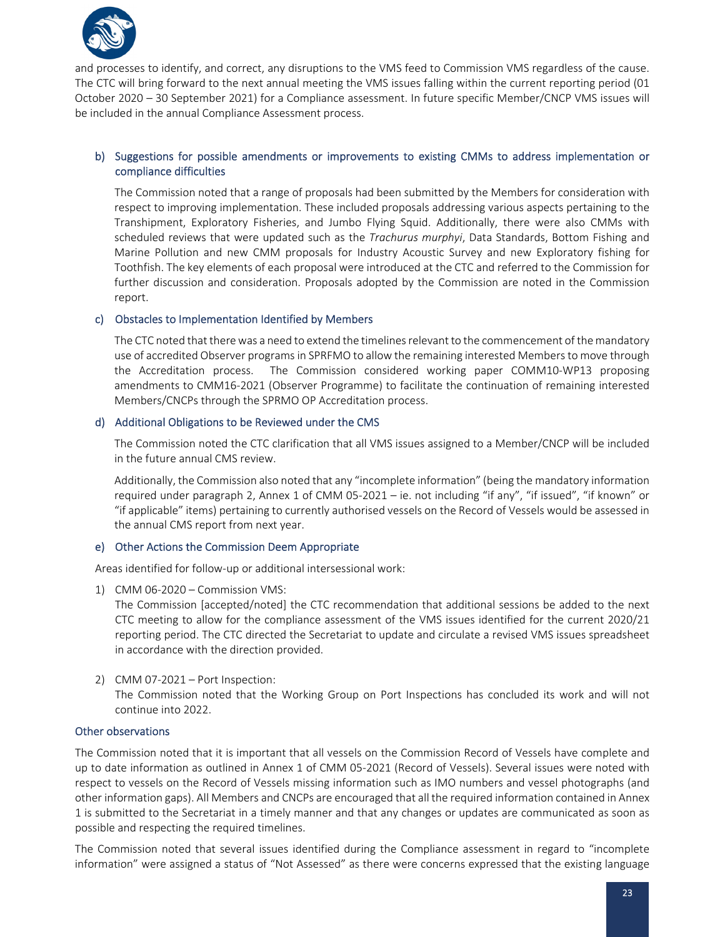

and processes to identify, and correct, any disruptions to the VMS feed to Commission VMS regardless of the cause. The CTC will bring forward to the next annual meeting the VMS issues falling within the current reporting period (01 October 2020 – 30 September 2021) for a Compliance assessment. In future specific Member/CNCP VMS issues will be included in the annual Compliance Assessment process.

#### b) Suggestions for possible amendments or improvements to existing CMMs to address implementation or compliance difficulties

The Commission noted that a range of proposals had been submitted by the Members for consideration with respect to improving implementation. These included proposals addressing various aspects pertaining to the Transhipment, Exploratory Fisheries, and Jumbo Flying Squid. Additionally, there were also CMMs with scheduled reviews that were updated such as the *Trachurus murphyi*, Data Standards, Bottom Fishing and Marine Pollution and new CMM proposals for Industry Acoustic Survey and new Exploratory fishing for Toothfish. The key elements of each proposal were introduced at the CTC and referred to the Commission for further discussion and consideration. Proposals adopted by the Commission are noted in the Commission report.

#### c) Obstacles to Implementation Identified by Members

The CTC noted that there was a need to extend the timelines relevant to the commencement of the mandatory use of accredited Observer programsin SPRFMO to allow the remaining interested Membersto move through the Accreditation process. The Commission considered working paper COMM10‐WP13 proposing amendments to CMM16‐2021 (Observer Programme) to facilitate the continuation of remaining interested Members/CNCPs through the SPRMO OP Accreditation process.

#### d) Additional Obligations to be Reviewed under the CMS

The Commission noted the CTC clarification that all VMS issues assigned to a Member/CNCP will be included in the future annual CMS review.

Additionally, the Commission also noted that any "incomplete information" (being the mandatory information required under paragraph 2, Annex 1 of CMM 05‐2021 – ie. not including "if any", "if issued", "if known" or "if applicable" items) pertaining to currently authorised vessels on the Record of Vessels would be assessed in the annual CMS report from next year.

#### e) Other Actions the Commission Deem Appropriate

Areas identified for follow‐up or additional intersessional work:

1) CMM 06‐2020 – Commission VMS:

The Commission [accepted/noted] the CTC recommendation that additional sessions be added to the next CTC meeting to allow for the compliance assessment of the VMS issues identified for the current 2020/21 reporting period. The CTC directed the Secretariat to update and circulate a revised VMS issues spreadsheet in accordance with the direction provided.

2) CMM 07‐2021 – Port Inspection:

The Commission noted that the Working Group on Port Inspections has concluded its work and will not continue into 2022.

#### Other observations

The Commission noted that it is important that all vessels on the Commission Record of Vessels have complete and up to date information as outlined in Annex 1 of CMM 05‐2021 (Record of Vessels). Several issues were noted with respect to vessels on the Record of Vessels missing information such as IMO numbers and vessel photographs (and other information gaps). All Members and CNCPs are encouraged that all the required information contained in Annex 1 is submitted to the Secretariat in a timely manner and that any changes or updates are communicated as soon as possible and respecting the required timelines.

The Commission noted that several issues identified during the Compliance assessment in regard to "incomplete information" were assigned a status of "Not Assessed" as there were concerns expressed that the existing language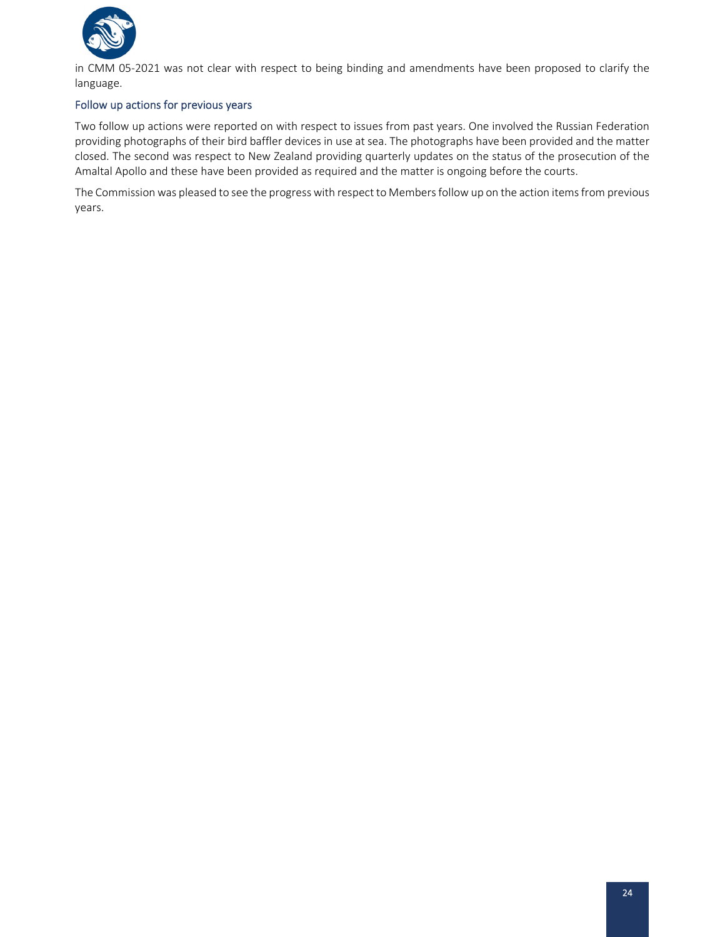

in CMM 05‐2021 was not clear with respect to being binding and amendments have been proposed to clarify the language.

#### Follow up actions for previous years

Two follow up actions were reported on with respect to issues from past years. One involved the Russian Federation providing photographs of their bird baffler devices in use at sea. The photographs have been provided and the matter closed. The second was respect to New Zealand providing quarterly updates on the status of the prosecution of the Amaltal Apollo and these have been provided as required and the matter is ongoing before the courts.

The Commission was pleased to see the progress with respect to Membersfollow up on the action itemsfrom previous years.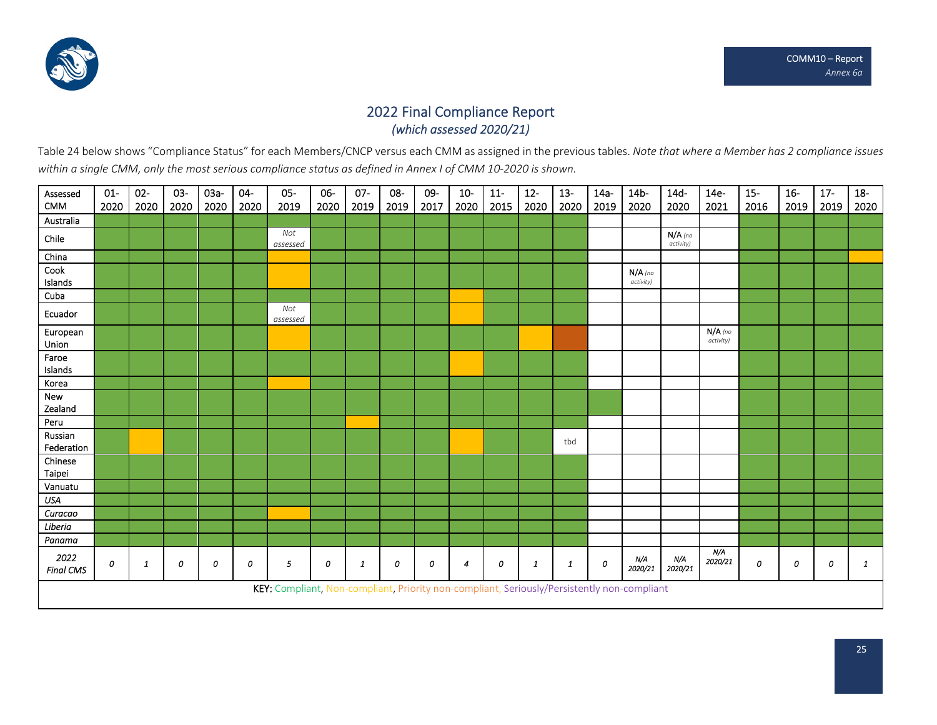

# 2022 Final Compliance Report *(which assessed 2020/21)*

Table 24 below shows "Compliance Status" for each Members/CNCP versus each CMM as assigned in the previous tables. Not*e that where a Member has 2 compliance issues* within a single CMM, only the most serious compliance status as defined in Annex I of CMM 10-2020 is shown.

| Assessed<br><b>CMM</b>   | $01-$<br>2020 | $02 -$<br>2020 | 03-<br>2020 | 03a-<br>2020 | $04-$<br>2020 | $05-$<br>2019                                                                               | 06-<br>2020 | $07 -$<br>2019 | 08-<br>2019 | 09-<br>2017 | $10-$<br>2020 | $11-$<br>2015 | $12 -$<br>2020 | $13 -$<br>2020 | $14a -$<br>2019 | 14 <sub>b</sub><br>2020 | $14d-$<br>2020         | 14e-<br>2021           | $15 -$<br>2016 | $16-$<br>2019 | $17 -$<br>2019 | $18-$<br>2020 |
|--------------------------|---------------|----------------|-------------|--------------|---------------|---------------------------------------------------------------------------------------------|-------------|----------------|-------------|-------------|---------------|---------------|----------------|----------------|-----------------|-------------------------|------------------------|------------------------|----------------|---------------|----------------|---------------|
| Australia                |               |                |             |              |               |                                                                                             |             |                |             |             |               |               |                |                |                 |                         |                        |                        |                |               |                |               |
| Chile                    |               |                |             |              |               | Not<br>assessed                                                                             |             |                |             |             |               |               |                |                |                 |                         | $N/A$ (no<br>activity) |                        |                |               |                |               |
| China                    |               |                |             |              |               |                                                                                             |             |                |             |             |               |               |                |                |                 |                         |                        |                        |                |               |                |               |
| Cook<br>Islands          |               |                |             |              |               |                                                                                             |             |                |             |             |               |               |                |                |                 | $N/A$ (no<br>activity)  |                        |                        |                |               |                |               |
| Cuba                     |               |                |             |              |               |                                                                                             |             |                |             |             |               |               |                |                |                 |                         |                        |                        |                |               |                |               |
| Ecuador                  |               |                |             |              |               | Not<br>assessed                                                                             |             |                |             |             |               |               |                |                |                 |                         |                        |                        |                |               |                |               |
| European<br>Union        |               |                |             |              |               |                                                                                             |             |                |             |             |               |               |                |                |                 |                         |                        | $N/A$ (no<br>activity) |                |               |                |               |
| Faroe<br>Islands         |               |                |             |              |               |                                                                                             |             |                |             |             |               |               |                |                |                 |                         |                        |                        |                |               |                |               |
| Korea                    |               |                |             |              |               |                                                                                             |             |                |             |             |               |               |                |                |                 |                         |                        |                        |                |               |                |               |
| New<br>Zealand           |               |                |             |              |               |                                                                                             |             |                |             |             |               |               |                |                |                 |                         |                        |                        |                |               |                |               |
| Peru                     |               |                |             |              |               |                                                                                             |             |                |             |             |               |               |                |                |                 |                         |                        |                        |                |               |                |               |
| Russian<br>Federation    |               |                |             |              |               |                                                                                             |             |                |             |             |               |               |                | tbd            |                 |                         |                        |                        |                |               |                |               |
| Chinese<br>Taipei        |               |                |             |              |               |                                                                                             |             |                |             |             |               |               |                |                |                 |                         |                        |                        |                |               |                |               |
| Vanuatu                  |               |                |             |              |               |                                                                                             |             |                |             |             |               |               |                |                |                 |                         |                        |                        |                |               |                |               |
| <b>USA</b>               |               |                |             |              |               |                                                                                             |             |                |             |             |               |               |                |                |                 |                         |                        |                        |                |               |                |               |
| Curacao                  |               |                |             |              |               |                                                                                             |             |                |             |             |               |               |                |                |                 |                         |                        |                        |                |               |                |               |
| Liberia                  |               |                |             |              |               |                                                                                             |             |                |             |             |               |               |                |                |                 |                         |                        |                        |                |               |                |               |
| Panama                   |               |                |             |              |               |                                                                                             |             |                |             |             |               |               |                |                |                 |                         |                        |                        |                |               |                |               |
| 2022<br><b>Final CMS</b> | 0             | 1              | 0           | 0            | 0             | 5                                                                                           | 0           | 1              | 0           | 0           | 4             | 0             | 1              | 1              | 0               | N/A<br>2020/21          | N/A<br>2020/21         | N/A<br>2020/21         | 0              | 0             | 0              | 1             |
|                          |               |                |             |              |               | KEY: Compliant, Non-compliant, Priority non-compliant, Seriously/Persistently non-compliant |             |                |             |             |               |               |                |                |                 |                         |                        |                        |                |               |                |               |